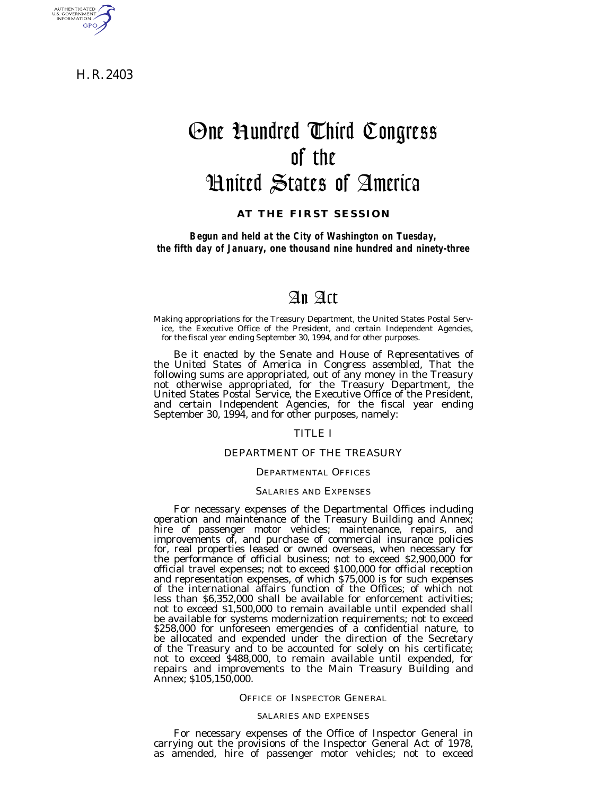H. R. 2403

AUTHENTICATED<br>U.S. GOVERNMENT<br>INFORMATION **GPO** 

# One Hundred Third Congress of the United States of America

**AT THE FIRST SESSION**

*Begun and held at the City of Washington on Tuesday, the fifth day of January, one thousand nine hundred and ninety-three*

## An Act

Making appropriations for the Treasury Department, the United States Postal Service, the Executive Office of the President, and certain Independent Agencies, for the fiscal year ending September 30, 1994, and for other purposes.

*Be it enacted by the Senate and House of Representatives of the United States of America in Congress assembled,* That the following sums are appropriated, out of any money in the Treasury not otherwise appropriated, for the Treasury Department, the United States Postal Service, the Executive Office of the President, and certain Independent Agencies, for the fiscal year ending September 30, 1994, and for other purposes, namely:

### TITLE I

### DEPARTMENT OF THE TREASURY

#### DEPARTMENTAL OFFICES

### SALARIES AND EXPENSES

For necessary expenses of the Departmental Offices including operation and maintenance of the Treasury Building and Annex; hire of passenger motor vehicles; maintenance, repairs, and improvements of, and purchase of commercial insurance policies for, real properties leased or owned overseas, when necessary for the performance of official business; not to exceed \$2,900,000 for official travel expenses; not to exceed \$100,000 for official reception and representation expenses, of which \$75,000 is for such expenses of the international affairs function of the Offices; of which not less than \$6,352,000 shall be available for enforcement activities; not to exceed \$1,500,000 to remain available until expended shall be available for systems modernization requirements; not to exceed \$258,000 for unforeseen emergencies of a confidential nature, to be allocated and expended under the direction of the Secretary of the Treasury and to be accounted for solely on his certificate; not to exceed \$488,000, to remain available until expended, for repairs and improvements to the Main Treasury Building and Annex; \$105,150,000.

#### OFFICE OF INSPECTOR GENERAL

### SALARIES AND EXPENSES

For necessary expenses of the Office of Inspector General in carrying out the provisions of the Inspector General Act of 1978, as amended, hire of passenger motor vehicles; not to exceed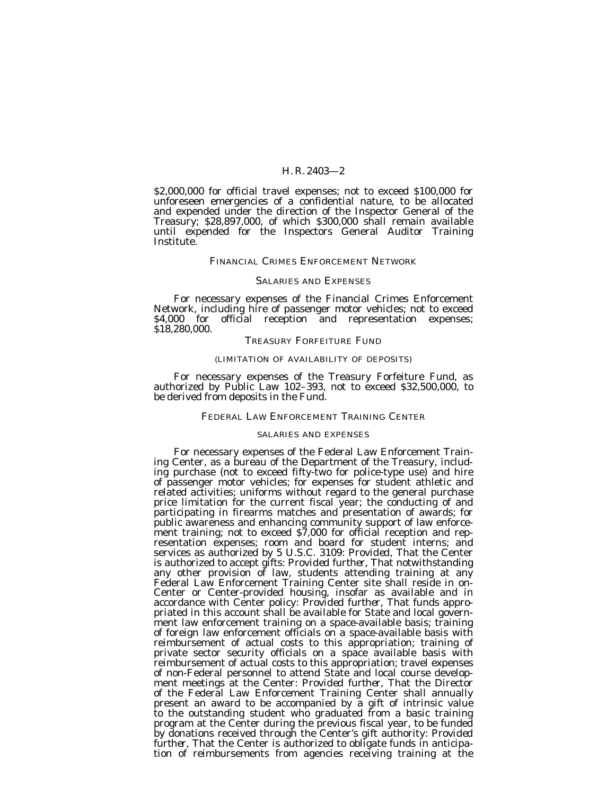\$2,000,000 for official travel expenses; not to exceed \$100,000 for unforeseen emergencies of a confidential nature, to be allocated and expended under the direction of the Inspector General of the Treasury; \$28,897,000, of which \$300,000 shall remain available until expended for the Inspectors General Auditor Training Institute.

#### FINANCIAL CRIMES ENFORCEMENT NETWORK

#### SALARIES AND EXPENSES

For necessary expenses of the Financial Crimes Enforcement Network, including hire of passenger motor vehicles; not to exceed \$4,000 for official reception and representation expenses; \$18,280,000.

#### TREASURY FORFEITURE FUND

#### (LIMITATION OF AVAILABILITY OF DEPOSITS)

For necessary expenses of the Treasury Forfeiture Fund, as authorized by Public Law 102–393, not to exceed \$32,500,000, to be derived from deposits in the Fund.

### FEDERAL LAW ENFORCEMENT TRAINING CENTER

#### SALARIES AND EXPENSES

For necessary expenses of the Federal Law Enforcement Training Center, as a bureau of the Department of the Treasury, including purchase (not to exceed fifty-two for police-type use) and hire of passenger motor vehicles; for expenses for student athletic and related activities; uniforms without regard to the general purchase price limitation for the current fiscal year; the conducting of and participating in firearms matches and presentation of awards; for public awareness and enhancing community support of law enforcement training; not to exceed \$7,000 for official reception and representation expenses; room and board for student interns; and services as authorized by 5 U.S.C. 3109: *Provided,* That the Center is authorized to accept gifts: *Provided further,* That notwithstanding any other provision of law, students attending training at any Federal Law Enforcement Training Center site shall reside in on-Center or Center-provided housing, insofar as available and in accordance with Center policy: *Provided further,* That funds appropriated in this account shall be available for State and local government law enforcement training on a space-available basis; training of foreign law enforcement officials on a space-available basis with reimbursement of actual costs to this appropriation; training of private sector security officials on a space available basis with reimbursement of actual costs to this appropriation; travel expenses of non-Federal personnel to attend State and local course development meetings at the Center: *Provided further,* That the Director of the Federal Law Enforcement Training Center shall annually present an award to be accompanied by a gift of intrinsic value to the outstanding student who graduated from a basic training program at the Center during the previous fiscal year, to be funded by donations received through the Center's gift authority: *Provided further,* That the Center is authorized to obligate funds in anticipation of reimbursements from agencies receiving training at the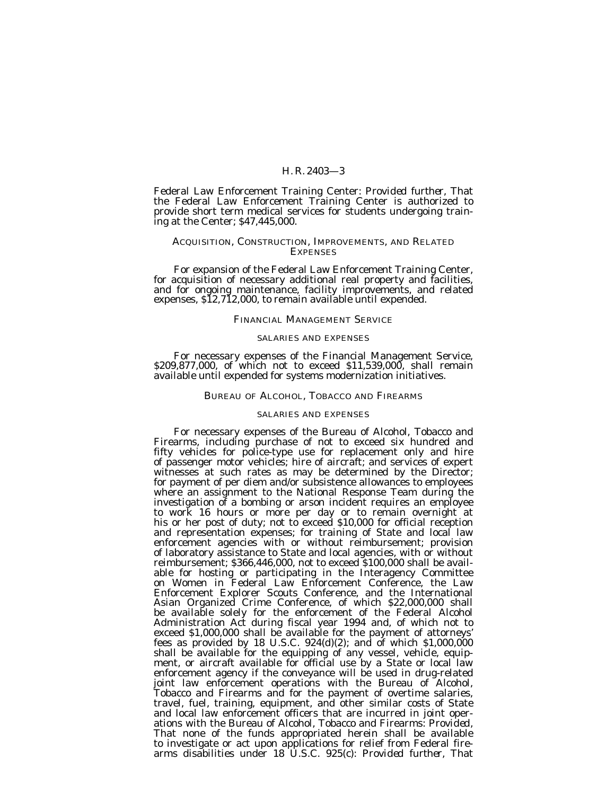Federal Law Enforcement Training Center: *Provided further,* That the Federal Law Enforcement Training Center is authorized to provide short term medical services for students undergoing training at the Center; \$47,445,000.

### ACQUISITION, CONSTRUCTION, IMPROVEMENTS, AND RELATED **EXPENSES**

For expansion of the Federal Law Enforcement Training Center, for acquisition of necessary additional real property and facilities, and for ongoing maintenance, facility improvements, and related expenses, \$12,712,000, to remain available until expended.

#### FINANCIAL MANAGEMENT SERVICE

#### SALARIES AND EXPENSES

For necessary expenses of the Financial Management Service, \$209,877,000, of which not to exceed \$11,539,000, shall remain available until expended for systems modernization initiatives.

### BUREAU OF ALCOHOL, TOBACCO AND FIREARMS

#### SALARIES AND EXPENSES

For necessary expenses of the Bureau of Alcohol, Tobacco and Firearms, including purchase of not to exceed six hundred and fifty vehicles for police-type use for replacement only and hire of passenger motor vehicles; hire of aircraft; and services of expert witnesses at such rates as may be determined by the Director; for payment of per diem and/or subsistence allowances to employees where an assignment to the National Response Team during the investigation of a bombing or arson incident requires an employee to work 16 hours or more per day or to remain overnight at his or her post of duty; not to exceed \$10,000 for official reception and representation expenses; for training of State and local law enforcement agencies with or without reimbursement; provision of laboratory assistance to State and local agencies, with or without reimbursement; \$366,446,000, not to exceed \$100,000 shall be available for hosting or participating in the Interagency Committee on Women in Federal Law Enforcement Conference, the Law Enforcement Explorer Scouts Conference, and the International Asian Organized Crime Conference, of which \$22,000,000 shall be available solely for the enforcement of the Federal Alcohol Administration Act during fiscal year 1994 and, of which not to exceed \$1,000,000 shall be available for the payment of attorneys' fees as provided by 18 U.S.C.  $924(d)(2)$ ; and of which  $$1,000,000$ shall be available for the equipping of any vessel, vehicle, equipment, or aircraft available for official use by a State or local law enforcement agency if the conveyance will be used in drug-related joint law enforcement operations with the Bureau of Alcohol, Tobacco and Firearms and for the payment of overtime salaries, travel, fuel, training, equipment, and other similar costs of State and local law enforcement officers that are incurred in joint operations with the Bureau of Alcohol, Tobacco and Firearms: *Provided,* That none of the funds appropriated herein shall be available to investigate or act upon applications for relief from Federal firearms disabilities under 18 U.S.C. 925(c): *Provided further,* That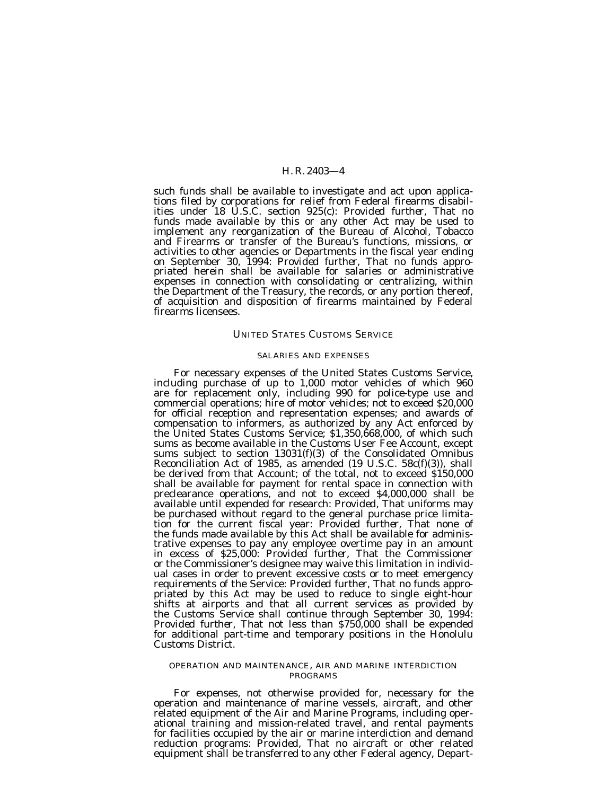such funds shall be available to investigate and act upon applications filed by corporations for relief from Federal firearms disabilities under 18 U.S.C. section 925(c): *Provided further,* That no funds made available by this or any other Act may be used to implement any reorganization of the Bureau of Alcohol, Tobacco and Firearms or transfer of the Bureau's functions, missions, or activities to other agencies or Departments in the fiscal year ending on September 30, 1994: *Provided further,* That no funds appropriated herein shall be available for salaries or administrative expenses in connection with consolidating or centralizing, within the Department of the Treasury, the records, or any portion thereof, of acquisition and disposition of firearms maintained by Federal firearms licensees.

### UNITED STATES CUSTOMS SERVICE

#### SALARIES AND EXPENSES

For necessary expenses of the United States Customs Service, including purchase of up to 1,000 motor vehicles of which 960 are for replacement only, including 990 for police-type use and commercial operations; hire of motor vehicles; not to exceed \$20,000 for official reception and representation expenses; and awards of compensation to informers, as authorized by any Act enforced by the United States Customs Service; \$1,350,668,000, of which such sums as become available in the Customs User Fee Account, except sums subject to section  $13031(f)(3)$  of the Consolidated Omnibus Reconciliation Act of 1985, as amended (19 U.S.C.  $58c(f)(3)$ ), shall be derived from that Account; of the total, not to exceed \$150,000 shall be available for payment for rental space in connection with preclearance operations, and not to exceed \$4,000,000 shall be available until expended for research: *Provided,* That uniforms may be purchased without regard to the general purchase price limitation for the current fiscal year: *Provided further,* That none of the funds made available by this Act shall be available for administrative expenses to pay any employee overtime pay in an amount in excess of \$25,000: *Provided further,* That the Commissioner or the Commissioner's designee may waive this limitation in individual cases in order to prevent excessive costs or to meet emergency requirements of the Service: *Provided further,* That no funds appropriated by this Act may be used to reduce to single eight-hour shifts at airports and that all current services as provided by the Customs Service shall continue through September 30, 1994: *Provided further,* That not less than \$750,000 shall be expended for additional part-time and temporary positions in the Honolulu Customs District.

#### OPERATION AND MAINTENANCE, AIR AND MARINE INTERDICTION PROGRAMS

For expenses, not otherwise provided for, necessary for the operation and maintenance of marine vessels, aircraft, and other related equipment of the Air and Marine Programs, including operational training and mission-related travel, and rental payments for facilities occupied by the air or marine interdiction and demand reduction programs: *Provided,* That no aircraft or other related equipment shall be transferred to any other Federal agency, Depart-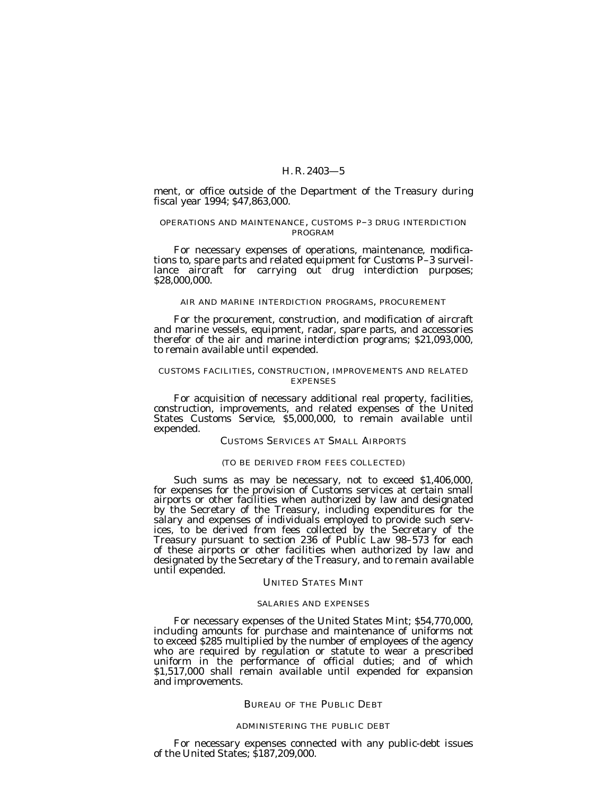ment, or office outside of the Department of the Treasury during fiscal year 1994; \$47,863,000.

### OPERATIONS AND MAINTENANCE, CUSTOMS P–3 DRUG INTERDICTION PROGRAM

For necessary expenses of operations, maintenance, modifications to, spare parts and related equipment for Customs P–3 surveillance aircraft for carrying out drug interdiction purposes; \$28,000,000.

#### AIR AND MARINE INTERDICTION PROGRAMS, PROCUREMENT

For the procurement, construction, and modification of aircraft and marine vessels, equipment, radar, spare parts, and accessories therefor of the air and marine interdiction programs; \$21,093,000, to remain available until expended.

### CUSTOMS FACILITIES, CONSTRUCTION, IMPROVEMENTS AND RELATED EXPENSES

For acquisition of necessary additional real property, facilities, construction, improvements, and related expenses of the United States Customs Service, \$5,000,000, to remain available until expended.

### CUSTOMS SERVICES AT SMALL AIRPORTS

### (TO BE DERIVED FROM FEES COLLECTED)

Such sums as may be necessary, not to exceed \$1,406,000, for expenses for the provision of Customs services at certain small airports or other facilities when authorized by law and designated by the Secretary of the Treasury, including expenditures for the salary and expenses of individuals employed to provide such services, to be derived from fees collected by the Secretary of the Treasury pursuant to section 236 of Public Law 98–573 for each of these airports or other facilities when authorized by law and designated by the Secretary of the Treasury, and to remain available until expended.

#### UNITED STATES MINT

#### SALARIES AND EXPENSES

For necessary expenses of the United States Mint; \$54,770,000, including amounts for purchase and maintenance of uniforms not to exceed \$285 multiplied by the number of employees of the agency who are required by regulation or statute to wear a prescribed uniform in the performance of official duties; and of which \$1,517,000 shall remain available until expended for expansion and improvements.

#### BUREAU OF THE PUBLIC DEBT

#### ADMINISTERING THE PUBLIC DEBT

For necessary expenses connected with any public-debt issues of the United States; \$187,209,000.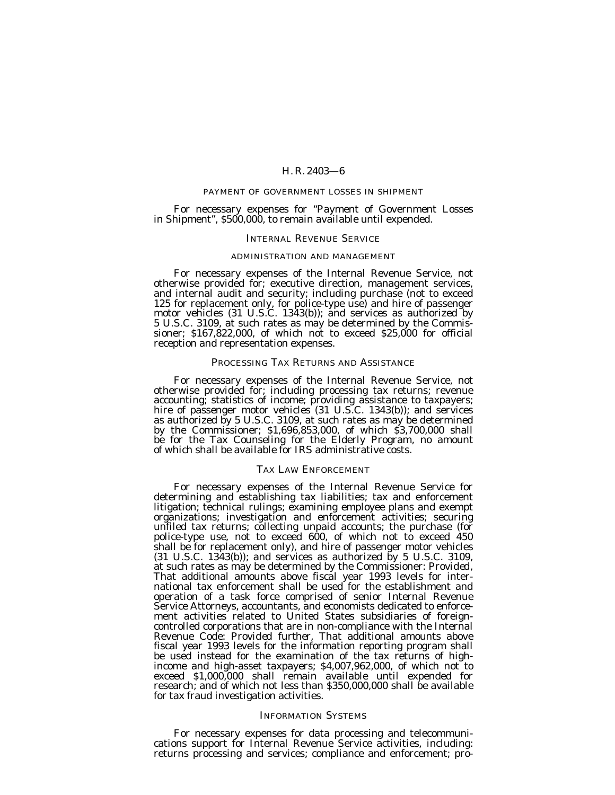### PAYMENT OF GOVERNMENT LOSSES IN SHIPMENT

For necessary expenses for "Payment of Government Losses in Shipment", \$500,000, to remain available until expended.

#### INTERNAL REVENUE SERVICE

#### ADMINISTRATION AND MANAGEMENT

For necessary expenses of the Internal Revenue Service, not otherwise provided for; executive direction, management services, and internal audit and security; including purchase (not to exceed 125 for replacement only, for police-type use) and hire of passenger motor vehicles (31 U.S.C. 1343(b)); and services as authorized by 5 U.S.C. 3109, at such rates as may be determined by the Commissioner; \$167,822,000, of which not to exceed \$25,000 for official reception and representation expenses.

#### PROCESSING TAX RETURNS AND ASSISTANCE

For necessary expenses of the Internal Revenue Service, not otherwise provided for; including processing tax returns; revenue accounting; statistics of income; providing assistance to taxpayers; hire of passenger motor vehicles (31 U.S.C. 1343(b)); and services as authorized by 5 U.S.C. 3109, at such rates as may be determined by the Commissioner; \$1,696,853,000, of which \$3,700,000 shall be for the Tax Counseling for the Elderly Program, no amount of which shall be available for IRS administrative costs.

### TAX LAW ENFORCEMENT

For necessary expenses of the Internal Revenue Service for determining and establishing tax liabilities; tax and enforcement litigation; technical rulings; examining employee plans and exempt organizations; investigation and enforcement activities; securing unfiled tax returns; collecting unpaid accounts; the purchase (for police-type use, not to exceed 600, of which not to exceed 450 shall be for replacement only), and hire of passenger motor vehicles (31 U.S.C. 1343(b)); and services as authorized by 5 U.S.C. 3109, at such rates as may be determined by the Commissioner: *Provided,* That additional amounts above fiscal year 1993 levels for international tax enforcement shall be used for the establishment and operation of a task force comprised of senior Internal Revenue Service Attorneys, accountants, and economists dedicated to enforcement activities related to United States subsidiaries of foreigncontrolled corporations that are in non-compliance with the Internal Revenue Code: *Provided further,* That additional amounts above fiscal year 1993 levels for the information reporting program shall be used instead for the examination of the tax returns of highincome and high-asset taxpayers; \$4,007,962,000, of which not to exceed \$1,000,000 shall remain available until expended for research; and of which not less than \$350,000,000 shall be available for tax fraud investigation activities.

### INFORMATION SYSTEMS

For necessary expenses for data processing and telecommunications support for Internal Revenue Service activities, including: returns processing and services; compliance and enforcement; pro-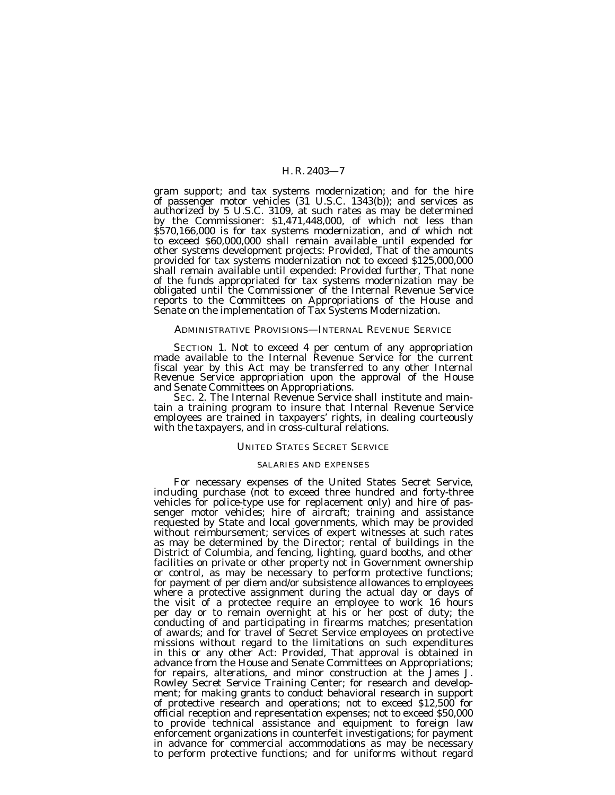gram support; and tax systems modernization; and for the hire of passenger motor vehicles (31 U.S.C. 1343(b)); and services as authorized by 5 U.S.C. 3109, at such rates as may be determined by the Commissioner: \$1,471,448,000, of which not less than \$570,166,000 is for tax systems modernization, and of which not to exceed \$60,000,000 shall remain available until expended for other systems development projects: *Provided,* That of the amounts provided for tax systems modernization not to exceed \$125,000,000 shall remain available until expended: *Provided further,* That none of the funds appropriated for tax systems modernization may be obligated until the Commissioner of the Internal Revenue Service reports to the Committees on Appropriations of the House and Senate on the implementation of Tax Systems Modernization.

### ADMINISTRATIVE PROVISIONS—INTERNAL REVENUE SERVICE

SECTION 1. Not to exceed 4 per centum of any appropriation made available to the Internal Revenue Service for the current fiscal year by this Act may be transferred to any other Internal Revenue Service appropriation upon the approval of the House and Senate Committees on Appropriations.

SEC. 2. The Internal Revenue Service shall institute and maintain a training program to insure that Internal Revenue Service employees are trained in taxpayers' rights, in dealing courteously with the taxpayers, and in cross-cultural relations.

### UNITED STATES SECRET SERVICE

### SALARIES AND EXPENSES

For necessary expenses of the United States Secret Service, including purchase (not to exceed three hundred and forty-three vehicles for police-type use for replacement only) and hire of passenger motor vehicles; hire of aircraft; training and assistance requested by State and local governments, which may be provided without reimbursement; services of expert witnesses at such rates as may be determined by the Director; rental of buildings in the District of Columbia, and fencing, lighting, guard booths, and other facilities on private or other property not in Government ownership or control, as may be necessary to perform protective functions; for payment of per diem and/or subsistence allowances to employees where a protective assignment during the actual day or days of the visit of a protectee require an employee to work 16 hours per day or to remain overnight at his or her post of duty; the conducting of and participating in firearms matches; presentation of awards; and for travel of Secret Service employees on protective missions without regard to the limitations on such expenditures in this or any other Act: *Provided,* That approval is obtained in advance from the House and Senate Committees on Appropriations; for repairs, alterations, and minor construction at the James J. Rowley Secret Service Training Center; for research and development; for making grants to conduct behavioral research in support of protective research and operations; not to exceed \$12,500 for official reception and representation expenses; not to exceed \$50,000 to provide technical assistance and equipment to foreign law enforcement organizations in counterfeit investigations; for payment in advance for commercial accommodations as may be necessary to perform protective functions; and for uniforms without regard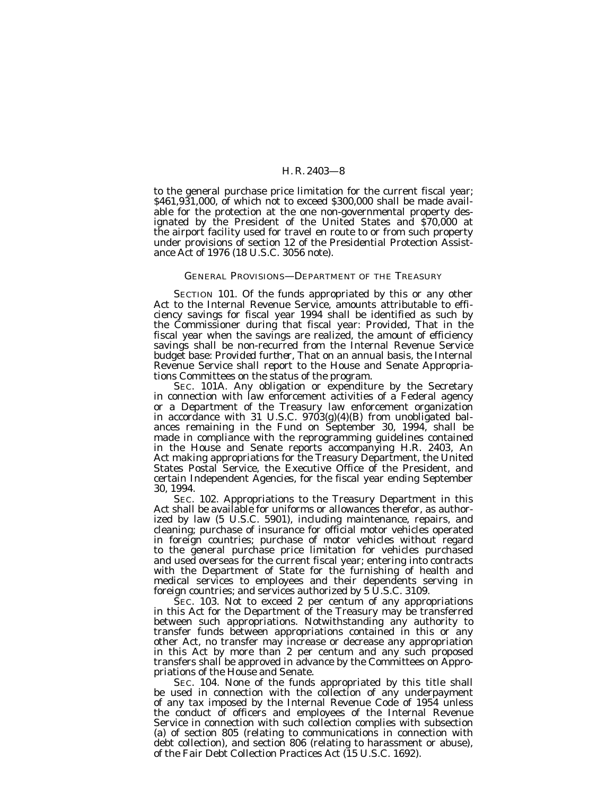to the general purchase price limitation for the current fiscal year; \$461,931,000, of which not to exceed \$300,000 shall be made available for the protection at the one non-governmental property designated by the President of the United States and \$70,000 at the airport facility used for travel en route to or from such property under provisions of section 12 of the Presidential Protection Assistance Act of 1976 (18 U.S.C. 3056 note).

### GENERAL PROVISIONS—DEPARTMENT OF THE TREASURY

SECTION 101. Of the funds appropriated by this or any other Act to the Internal Revenue Service, amounts attributable to efficiency savings for fiscal year 1994 shall be identified as such by the Commissioner during that fiscal year: *Provided,* That in the fiscal year when the savings are realized, the amount of efficiency savings shall be non-recurred from the Internal Revenue Service budget base: *Provided further,* That on an annual basis, the Internal Revenue Service shall report to the House and Senate Appropriations Committees on the status of the program.

SEC. 101A. Any obligation or expenditure by the Secretary in connection with law enforcement activities of a Federal agency or a Department of the Treasury law enforcement organization in accordance with 31 U.S.C. 9703(g)(4)(B) from unobligated balances remaining in the Fund on September 30, 1994, shall be made in compliance with the reprogramming guidelines contained in the House and Senate reports accompanying H.R. 2403, An Act making appropriations for the Treasury Department, the United States Postal Service, the Executive Office of the President, and certain Independent Agencies, for the fiscal year ending September 30, 1994.

SEC. 102. Appropriations to the Treasury Department in this Act shall be available for uniforms or allowances therefor, as authorized by law (5 U.S.C. 5901), including maintenance, repairs, and cleaning; purchase of insurance for official motor vehicles operated in foreign countries; purchase of motor vehicles without regard to the general purchase price limitation for vehicles purchased and used overseas for the current fiscal year; entering into contracts with the Department of State for the furnishing of health and medical services to employees and their dependents serving in foreign countries; and services authorized by 5 U.S.C. 3109.

SEC. 103. Not to exceed 2 per centum of any appropriations in this Act for the Department of the Treasury may be transferred between such appropriations. Notwithstanding any authority to transfer funds between appropriations contained in this or any other Act, no transfer may increase or decrease any appropriation in this Act by more than 2 per centum and any such proposed transfers shall be approved in advance by the Committees on Appropriations of the House and Senate.

SEC. 104. None of the funds appropriated by this title shall be used in connection with the collection of any underpayment of any tax imposed by the Internal Revenue Code of 1954 unless the conduct of officers and employees of the Internal Revenue Service in connection with such collection complies with subsection (a) of section 805 (relating to communications in connection with debt collection), and section 806 (relating to harassment or abuse), of the Fair Debt Collection Practices Act (15 U.S.C. 1692).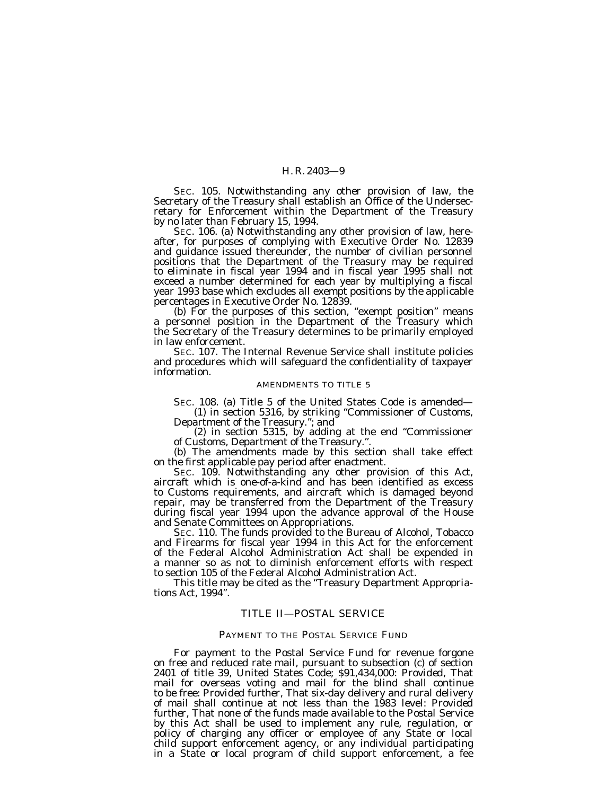SEC. 105. Notwithstanding any other provision of law, the Secretary of the Treasury shall establish an Office of the Undersecretary for Enforcement within the Department of the Treasury by no later than February 15, 1994.

SEC. 106. (a) Notwithstanding any other provision of law, hereafter, for purposes of complying with Executive Order No. 12839 and guidance issued thereunder, the number of civilian personnel positions that the Department of the Treasury may be required to eliminate in fiscal year 1994 and in fiscal year 1995 shall not exceed a number determined for each year by multiplying a fiscal year 1993 base which excludes all exempt positions by the applicable percentages in Executive Order No. 12839.

(b) For the purposes of this section, ''exempt position'' means a personnel position in the Department of the Treasury which the Secretary of the Treasury determines to be primarily employed in law enforcement.

SEC. 107. The Internal Revenue Service shall institute policies and procedures which will safeguard the confidentiality of taxpayer information.

#### AMENDMENTS TO TITLE 5

SEC. 108. (a) Title 5 of the United States Code is amended— (1) in section 5316, by striking ''Commissioner of Customs,

Department of the Treasury.''; and

(2) in section 5315, by adding at the end ''Commissioner of Customs, Department of the Treasury.''.

(b) The amendments made by this section shall take effect on the first applicable pay period after enactment.

SEC. 109. Notwithstanding any other provision of this Act, aircraft which is one-of-a-kind and has been identified as excess to Customs requirements, and aircraft which is damaged beyond repair, may be transferred from the Department of the Treasury during fiscal year 1994 upon the advance approval of the House and Senate Committees on Appropriations.

SEC. 110. The funds provided to the Bureau of Alcohol, Tobacco and Firearms for fiscal year 1994 in this Act for the enforcement of the Federal Alcohol Administration Act shall be expended in a manner so as not to diminish enforcement efforts with respect to section 105 of the Federal Alcohol Administration Act.

This title may be cited as the ''Treasury Department Appropriations Act, 1994''.

#### TITLE II—POSTAL SERVICE

### PAYMENT TO THE POSTAL SERVICE FUND

For payment to the Postal Service Fund for revenue forgone on free and reduced rate mail, pursuant to subsection (c) of section 2401 of title 39, United States Code; \$91,434,000: *Provided,* That mail for overseas voting and mail for the blind shall continue to be free: *Provided further,* That six-day delivery and rural delivery of mail shall continue at not less than the 1983 level: *Provided further,* That none of the funds made available to the Postal Service by this Act shall be used to implement any rule, regulation, or policy of charging any officer or employee of any State or local child support enforcement agency, or any individual participating in a State or local program of child support enforcement, a fee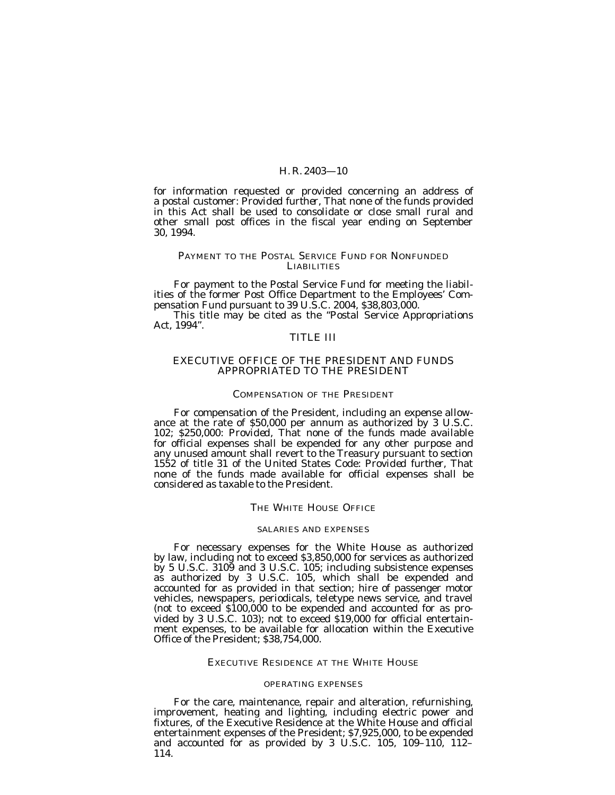for information requested or provided concerning an address of a postal customer: *Provided further,* That none of the funds provided in this Act shall be used to consolidate or close small rural and other small post offices in the fiscal year ending on September 30, 1994.

### PAYMENT TO THE POSTAL SERVICE FUND FOR NONFUNDED **LIABILITIES**

For payment to the Postal Service Fund for meeting the liabilities of the former Post Office Department to the Employees' Compensation Fund pursuant to 39 U.S.C. 2004, \$38,803,000.

This title may be cited as the ''Postal Service Appropriations Act, 1994''.

### TITLE III

### EXECUTIVE OFFICE OF THE PRESIDENT AND FUNDS APPROPRIATED TO THE PRESIDENT

### COMPENSATION OF THE PRESIDENT

For compensation of the President, including an expense allowance at the rate of \$50,000 per annum as authorized by 3 U.S.C. 102; \$250,000: *Provided,* That none of the funds made available for official expenses shall be expended for any other purpose and any unused amount shall revert to the Treasury pursuant to section 1552 of title 31 of the United States Code: *Provided further,* That none of the funds made available for official expenses shall be considered as taxable to the President.

### THE WHITE HOUSE OFFICE

#### SALARIES AND EXPENSES

For necessary expenses for the White House as authorized by law, including not to exceed \$3,850,000 for services as authorized by 5 U.S.C. 3109 and 3 U.S.C. 105; including subsistence expenses as authorized by 3 U.S.C. 105, which shall be expended and accounted for as provided in that section; hire of passenger motor vehicles, newspapers, periodicals, teletype news service, and travel (not to exceed \$100,000 to be expended and accounted for as provided by 3 U.S.C. 103); not to exceed \$19,000 for official entertainment expenses, to be available for allocation within the Executive Office of the President; \$38,754,000.

#### EXECUTIVE RESIDENCE AT THE WHITE HOUSE

### OPERATING EXPENSES

For the care, maintenance, repair and alteration, refurnishing, improvement, heating and lighting, including electric power and fixtures, of the Executive Residence at the White House and official entertainment expenses of the President; \$7,925,000, to be expended and accounted for as provided by 3 U.S.C. 105, 109–110, 112– 114.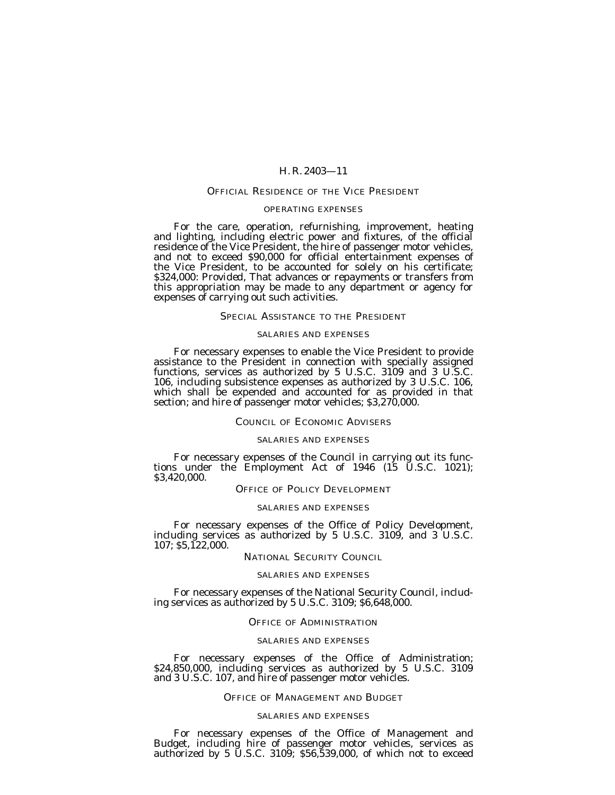#### OFFICIAL RESIDENCE OF THE VICE PRESIDENT

### OPERATING EXPENSES

For the care, operation, refurnishing, improvement, heating and lighting, including electric power and fixtures, of the official residence of the Vice President, the hire of passenger motor vehicles, and not to exceed \$90,000 for official entertainment expenses of the Vice President, to be accounted for solely on his certificate; \$324,000: *Provided,* That advances or repayments or transfers from this appropriation may be made to any department or agency for expenses of carrying out such activities.

#### SPECIAL ASSISTANCE TO THE PRESIDENT

#### SALARIES AND EXPENSES

For necessary expenses to enable the Vice President to provide assistance to the President in connection with specially assigned functions, services as authorized by 5 U.S.C. 3109 and 3 U.S.C. 106, including subsistence expenses as authorized by 3 U.S.C. 106, which shall be expended and accounted for as provided in that section; and hire of passenger motor vehicles; \$3,270,000.

#### COUNCIL OF ECONOMIC ADVISERS

#### SALARIES AND EXPENSES

For necessary expenses of the Council in carrying out its functions under the Employment Act of 1946 (15 U.S.C. 1021); \$3,420,000.

#### OFFICE OF POLICY DEVELOPMENT

#### SALARIES AND EXPENSES

For necessary expenses of the Office of Policy Development, including services as authorized by 5 U.S.C. 3109, and 3 U.S.C. 107; \$5,122,000.

### NATIONAL SECURITY COUNCIL

#### SALARIES AND EXPENSES

For necessary expenses of the National Security Council, including services as authorized by 5 U.S.C. 3109; \$6,648,000.

#### OFFICE OF ADMINISTRATION

#### SALARIES AND EXPENSES

For necessary expenses of the Office of Administration; \$24,850,000, including services as authorized by 5 U.S.C. 3109 and 3 U.S.C. 107, and hire of passenger motor vehicles.

#### OFFICE OF MANAGEMENT AND BUDGET

#### SALARIES AND EXPENSES

For necessary expenses of the Office of Management and Budget, including hire of passenger motor vehicles, services as authorized by 5 U.S.C. 3109; \$56,539,000, of which not to exceed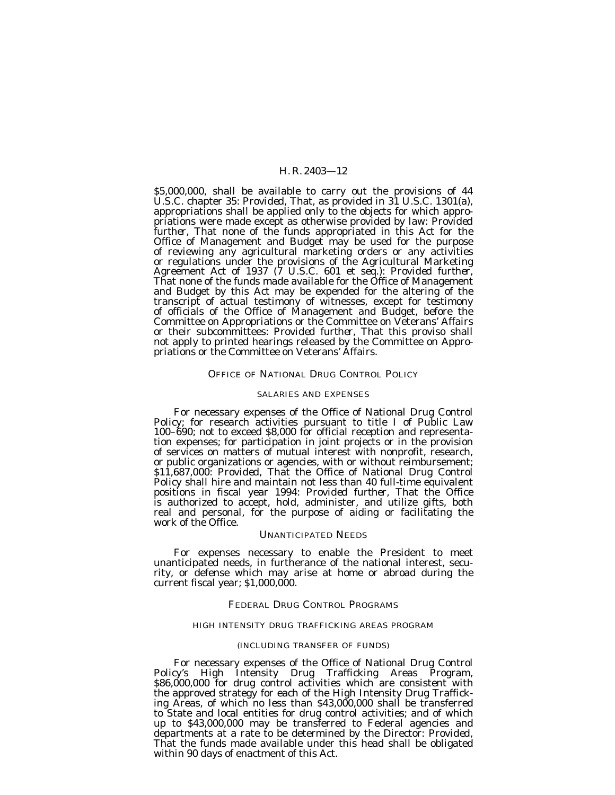\$5,000,000, shall be available to carry out the provisions of 44 U.S.C. chapter 35: *Provided,* That, as provided in 31 U.S.C. 1301(a), appropriations shall be applied only to the objects for which appropriations were made except as otherwise provided by law: *Provided further,* That none of the funds appropriated in this Act for the Office of Management and Budget may be used for the purpose of reviewing any agricultural marketing orders or any activities or regulations under the provisions of the Agricultural Marketing Agreement Act of 1937 (7 U.S.C. 601 et seq.): *Provided further,* That none of the funds made available for the Office of Management and Budget by this Act may be expended for the altering of the transcript of actual testimony of witnesses, except for testimony of officials of the Office of Management and Budget, before the Committee on Appropriations or the Committee on Veterans' Affairs or their subcommittees: *Provided further,* That this proviso shall not apply to printed hearings released by the Committee on Appropriations or the Committee on Veterans' Affairs.

#### OFFICE OF NATIONAL DRUG CONTROL POLICY

#### SALARIES AND EXPENSES

For necessary expenses of the Office of National Drug Control Policy; for research activities pursuant to title I of Public Law 100–690; not to exceed \$8,000 for official reception and representation expenses; for participation in joint projects or in the provision of services on matters of mutual interest with nonprofit, research, or public organizations or agencies, with or without reimbursement; \$11,687,000: *Provided,* That the Office of National Drug Control Policy shall hire and maintain not less than 40 full-time equivalent positions in fiscal year 1994: *Provided further,* That the Office is authorized to accept, hold, administer, and utilize gifts, both real and personal, for the purpose of aiding or facilitating the work of the Office.

#### UNANTICIPATED NEEDS

For expenses necessary to enable the President to meet unanticipated needs, in furtherance of the national interest, security, or defense which may arise at home or abroad during the current fiscal year; \$1,000,000.

### FEDERAL DRUG CONTROL PROGRAMS

#### HIGH INTENSITY DRUG TRAFFICKING AREAS PROGRAM

#### (INCLUDING TRANSFER OF FUNDS)

For necessary expenses of the Office of National Drug Control Policy's High Intensity Drug Trafficking Areas Program, \$86,000,000 for drug control activities which are consistent with the approved strategy for each of the High Intensity Drug Trafficking Areas, of which no less than \$43,000,000 shall be transferred to State and local entities for drug control activities; and of which up to \$43,000,000 may be transferred to Federal agencies and departments at a rate to be determined by the Director: *Provided,* That the funds made available under this head shall be obligated within 90 days of enactment of this Act.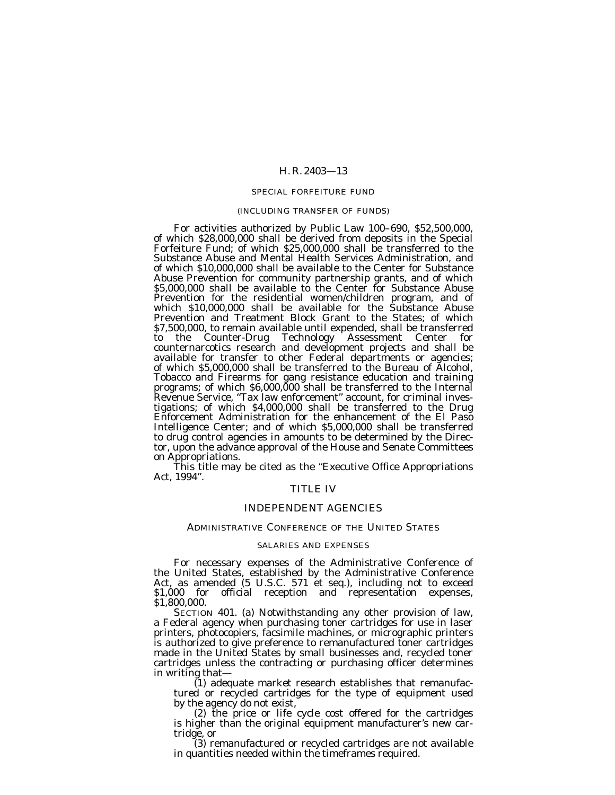### SPECIAL FORFEITURE FUND

#### (INCLUDING TRANSFER OF FUNDS)

For activities authorized by Public Law 100–690, \$52,500,000, of which \$28,000,000 shall be derived from deposits in the Special Forfeiture Fund; of which \$25,000,000 shall be transferred to the Substance Abuse and Mental Health Services Administration, and of which \$10,000,000 shall be available to the Center for Substance Abuse Prevention for community partnership grants, and of which \$5,000,000 shall be available to the Center for Substance Abuse Prevention for the residential women/children program, and of which \$10,000,000 shall be available for the Substance Abuse Prevention and Treatment Block Grant to the States; of which \$7,500,000, to remain available until expended, shall be transferred to the Counter-Drug Technology Assessment Center for counternarcotics research and development projects and shall be available for transfer to other Federal departments or agencies; of which \$5,000,000 shall be transferred to the Bureau of Alcohol, Tobacco and Firearms for gang resistance education and training programs; of which \$6,000,000 shall be transferred to the Internal Revenue Service, ''Tax law enforcement'' account, for criminal investigations; of which \$4,000,000 shall be transferred to the Drug Enforcement Administration for the enhancement of the El Paso Intelligence Center; and of which \$5,000,000 shall be transferred to drug control agencies in amounts to be determined by the Director, upon the advance approval of the House and Senate Committees on Appropriations.

This title may be cited as the ''Executive Office Appropriations Act, 1994''.

### TITLE IV

### INDEPENDENT AGENCIES

#### ADMINISTRATIVE CONFERENCE OF THE UNITED STATES

#### SALARIES AND EXPENSES

For necessary expenses of the Administrative Conference of the United States, established by the Administrative Conference Act, as amended (5 U.S.C. 571 et seq.), including not to exceed \$1,000 for official reception and representation expenses, \$1,800,000.

SECTION 401. (a) Notwithstanding any other provision of law, a Federal agency when purchasing toner cartridges for use in laser printers, photocopiers, facsimile machines, or micrographic printers is authorized to give preference to remanufactured toner cartridges made in the United States by small businesses and, recycled toner cartridges unless the contracting or purchasing officer determines in writing that—

(1) adequate market research establishes that remanufactured or recycled cartridges for the type of equipment used<br>by the agency do not exist,

 $\phi$  (2) the price or life cycle cost offered for the cartridges is higher than the original equipment manufacturer's new cartridge, or

(3) remanufactured or recycled cartridges are not available in quantities needed within the timeframes required.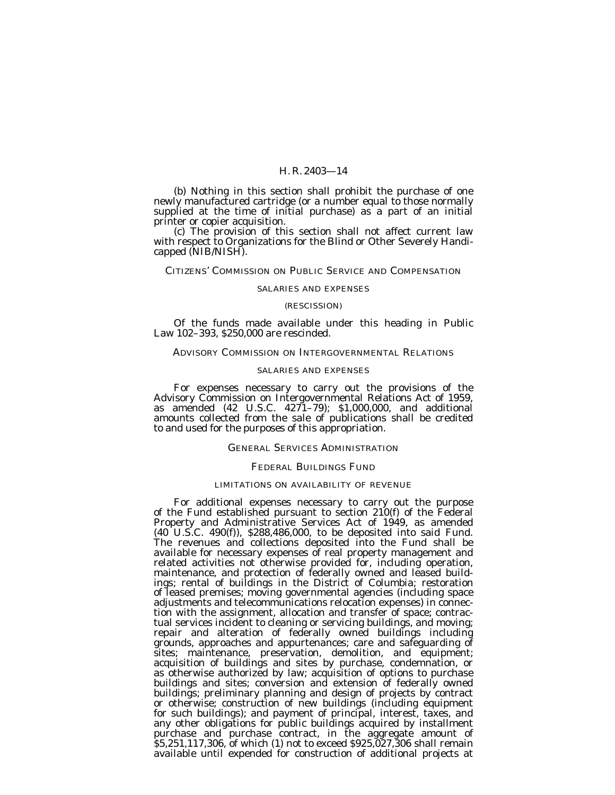(b) Nothing in this section shall prohibit the purchase of one newly manufactured cartridge (or a number equal to those normally supplied at the time of initial purchase) as a part of an initial printer or copier acquisition.

(c) The provision of this section shall not affect current law with respect to Organizations for the Blind or Other Severely Handicapped (NIB/NISH).

#### CITIZENS' COMMISSION ON PUBLIC SERVICE AND COMPENSATION

#### SALARIES AND EXPENSES

#### (RESCISSION)

Of the funds made available under this heading in Public Law 102–393, \$250,000 are rescinded.

### ADVISORY COMMISSION ON INTERGOVERNMENTAL RELATIONS

#### SALARIES AND EXPENSES

For expenses necessary to carry out the provisions of the Advisory Commission on Intergovernmental Relations Act of 1959, as amended (42 U.S.C. 4271–79); \$1,000,000, and additional amounts collected from the sale of publications shall be credited to and used for the purposes of this appropriation.

### GENERAL SERVICES ADMINISTRATION

#### FEDERAL BUILDINGS FUND

### LIMITATIONS ON AVAILABILITY OF REVENUE

For additional expenses necessary to carry out the purpose of the Fund established pursuant to section 210(f) of the Federal Property and Administrative Services Act of 1949, as amended (40 U.S.C. 490(f)), \$288,486,000, to be deposited into said Fund. The revenues and collections deposited into the Fund shall be available for necessary expenses of real property management and related activities not otherwise provided for, including operation, maintenance, and protection of federally owned and leased buildings; rental of buildings in the District of Columbia; restoration of leased premises; moving governmental agencies (including space adjustments and telecommunications relocation expenses) in connection with the assignment, allocation and transfer of space; contractual services incident to cleaning or servicing buildings, and moving; repair and alteration of federally owned buildings including grounds, approaches and appurtenances; care and safeguarding of sites; maintenance, preservation, demolition, and equipment; acquisition of buildings and sites by purchase, condemnation, or as otherwise authorized by law; acquisition of options to purchase buildings and sites; conversion and extension of federally owned buildings; preliminary planning and design of projects by contract or otherwise; construction of new buildings (including equipment for such buildings); and payment of principal, interest, taxes, and any other obligations for public buildings acquired by installment purchase and purchase contract, in the aggregate amount of \$5,251,117,306, of which (1) not to exceed \$925,027,306 shall remain available until expended for construction of additional projects at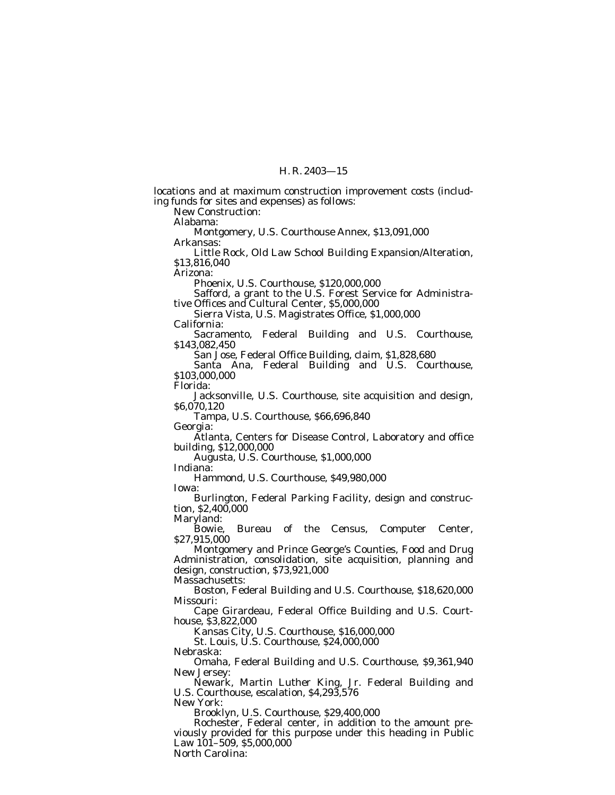locations and at maximum construction improvement costs (including funds for sites and expenses) as follows: New Construction: Alabama: Montgomery, U.S. Courthouse Annex, \$13,091,000 Arkansas: Little Rock, Old Law School Building Expansion/Alteration, \$13,816,040 Arizona: Phoenix, U.S. Courthouse, \$120,000,000 Safford, a grant to the U.S. Forest Service for Administrative Offices and Cultural Center, \$5,000,000 Sierra Vista, U.S. Magistrates Office, \$1,000,000 California: Sacramento, Federal Building and U.S. Courthouse, \$143,082,450 San Jose, Federal Office Building, claim, \$1,828,680 Santa Ana, Federal Building and U.S. Courthouse, \$103,000,000 Florida: Jacksonville, U.S. Courthouse, site acquisition and design, \$6,070,120 Tampa, U.S. Courthouse, \$66,696,840 Georgia: Atlanta, Centers for Disease Control, Laboratory and office building, \$12,000,000 Augusta, U.S. Courthouse, \$1,000,000 Indiana: Hammond, U.S. Courthouse, \$49,980,000 Iowa: Burlington, Federal Parking Facility, design and construction, \$2,400,000 Maryland: Bowie, Bureau of the Census, Computer Center, \$27,915,000 Montgomery and Prince George's Counties, Food and Drug Administration, consolidation, site acquisition, planning and design, construction, \$73,921,000 Massachusetts: Boston, Federal Building and U.S. Courthouse, \$18,620,000 Missouri: Cape Girardeau, Federal Office Building and U.S. Courthouse, \$3,822,000 Kansas City, U.S. Courthouse, \$16,000,000 St. Louis, U.S. Courthouse, \$24,000,000 Nebraska: Omaha, Federal Building and U.S. Courthouse, \$9,361,940 New Jersey: Newark, Martin Luther King, Jr. Federal Building and U.S. Courthouse, escalation, \$4,293,576 New York: Brooklyn, U.S. Courthouse, \$29,400,000 Rochester, Federal center, in addition to the amount previously provided for this purpose under this heading in Public Law 101–509, \$5,000,000

North Carolina: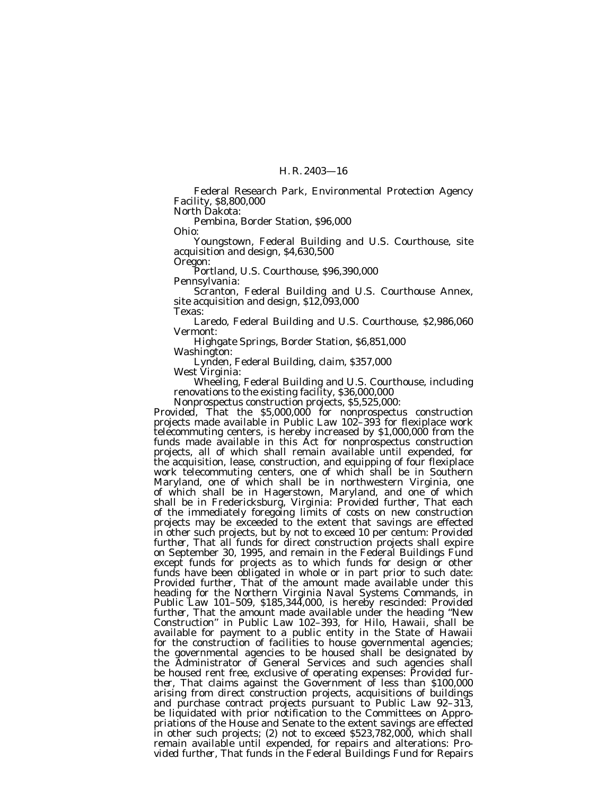Federal Research Park, Environmental Protection Agency Facility, \$8,800,000

North Dakota:

Pembina, Border Station, \$96,000

Ohio:

Youngstown, Federal Building and U.S. Courthouse, site acquisition and design, \$4,630,500

Oregon:

Portland, U.S. Courthouse, \$96,390,000 Pennsylvania:

Scranton, Federal Building and U.S. Courthouse Annex, site acquisition and design, \$12,093,000

Texas:

Laredo, Federal Building and U.S. Courthouse, \$2,986,060 Vermont:

Highgate Springs, Border Station, \$6,851,000 Washington:

Lynden, Federal Building, claim, \$357,000

West Virginia:

Wheeling, Federal Building and U.S. Courthouse, including renovations to the existing facility, \$36,000,000

Nonprospectus construction projects, \$5,525,000:

*Provided,* That the \$5,000,000 for nonprospectus construction projects made available in Public Law 102–393 for flexiplace work telecommuting centers, is hereby increased by \$1,000,000 from the funds made available in this Act for nonprospectus construction projects, all of which shall remain available until expended, for the acquisition, lease, construction, and equipping of four flexiplace work telecommuting centers, one of which shall be in Southern Maryland, one of which shall be in northwestern Virginia, one of which shall be in Hagerstown, Maryland, and one of which shall be in Fredericksburg, Virginia: *Provided further,* That each of the immediately foregoing limits of costs on new construction projects may be exceeded to the extent that savings are effected in other such projects, but by not to exceed 10 per centum: *Provided further,* That all funds for direct construction projects shall expire on September 30, 1995, and remain in the Federal Buildings Fund except funds for projects as to which funds for design or other funds have been obligated in whole or in part prior to such date: *Provided further,* That of the amount made available under this heading for the Northern Virginia Naval Systems Commands, in Public Law 101–509, \$185,344,000, is hereby rescinded: *Provided further,* That the amount made available under the heading ''New Construction'' in Public Law 102–393, for Hilo, Hawaii, shall be available for payment to a public entity in the State of Hawaii for the construction of facilities to house governmental agencies; the governmental agencies to be housed shall be designated by the Administrator of General Services and such agencies shall be housed rent free, exclusive of operating expenses: *Provided further,* That claims against the Government of less than \$100,000 arising from direct construction projects, acquisitions of buildings and purchase contract projects pursuant to Public Law 92–313, be liquidated with prior notification to the Committees on Appropriations of the House and Senate to the extent savings are effected in other such projects; (2) not to exceed \$523,782,000, which shall remain available until expended, for repairs and alterations: *Provided further,* That funds in the Federal Buildings Fund for Repairs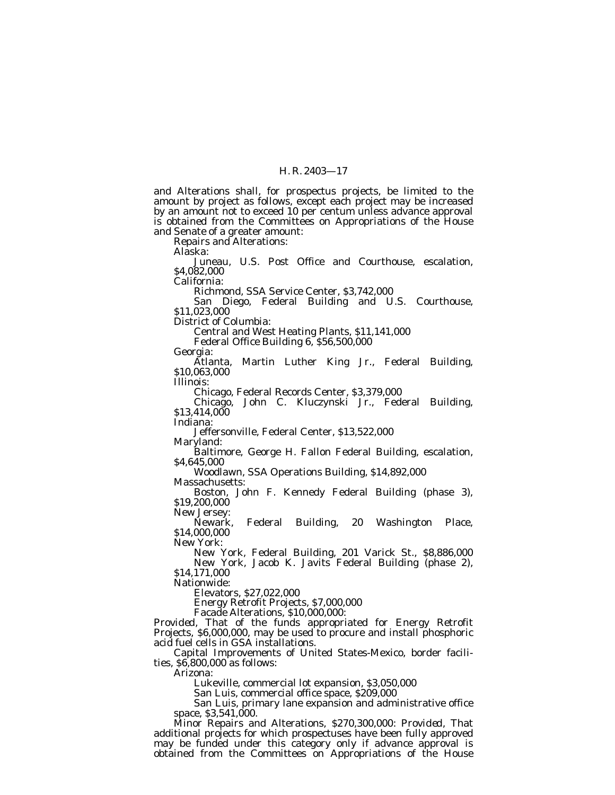and Alterations shall, for prospectus projects, be limited to the amount by project as follows, except each project may be increased by an amount not to exceed 10 per centum unless advance approval is obtained from the Committees on Appropriations of the House and Senate of a greater amount: Repairs and Alterations: Alaska: Juneau, U.S. Post Office and Courthouse, escalation, \$4,082,000 California: Richmond, SSA Service Center, \$3,742,000 San Diego, Federal Building and U.S. Courthouse, \$11,023,000 District of Columbia: Central and West Heating Plants, \$11,141,000 Federal Office Building 6, \$56,500,000 Georgia: Atlanta, Martin Luther King Jr., Federal Building, \$10,063,000 Illinois: Chicago, Federal Records Center, \$3,379,000 Chicago, John C. Kluczynski Jr., Federal Building, \$13,414,000 Indiana: Jeffersonville, Federal Center, \$13,522,000 Maryland: Baltimore, George H. Fallon Federal Building, escalation, \$4,645,000 Woodlawn, SSA Operations Building, \$14,892,000 Massachusetts: Boston, John F. Kennedy Federal Building (phase 3), \$19,200,000 New Jersey:<br>Newark, Federal Building, 20 Washington Place, \$14,000,000 New York: New York, Federal Building, 201 Varick St., \$8,886,000 New York, Jacob K. Javits Federal Building (phase 2), \$14,171,000 Nationwide: Elevators, \$27,022,000 Energy Retrofit Projects, \$7,000,000 Facade Alterations, \$10,000,000: *Provided,* That of the funds appropriated for Energy Retrofit Projects, \$6,000,000, may be used to procure and install phosphoric acid fuel cells in GSA installations. Capital Improvements of United States-Mexico, border facilities, \$6,800,000 as follows: Arizona: Lukeville, commercial lot expansion, \$3,050,000 San Luis, commercial office space, \$209,000

San Luis, primary lane expansion and administrative office space, \$3,541,000.

Minor Repairs and Alterations, \$270,300,000: *Provided,* That additional projects for which prospectuses have been fully approved may be funded under this category only if advance approval is obtained from the Committees on Appropriations of the House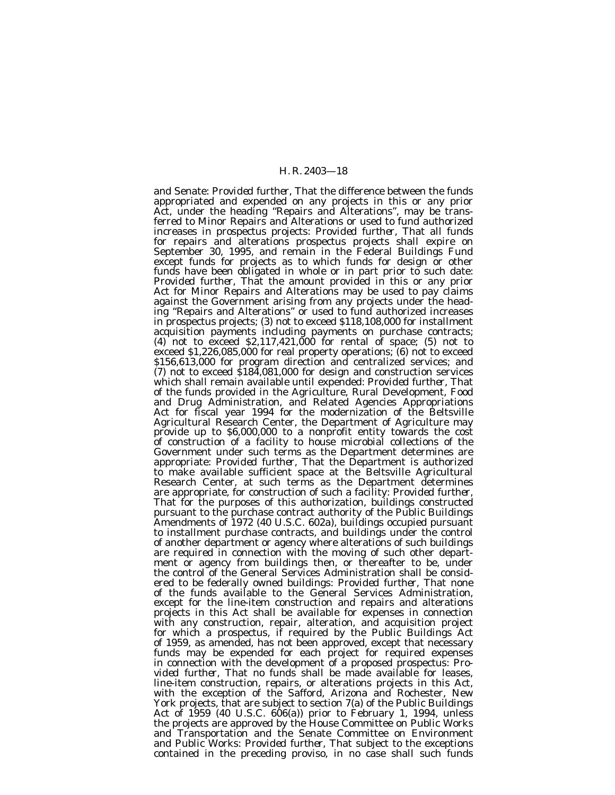and Senate: *Provided further,* That the difference between the funds appropriated and expended on any projects in this or any prior Act, under the heading ''Repairs and Alterations'', may be transferred to Minor Repairs and Alterations or used to fund authorized increases in prospectus projects: *Provided further,* That all funds for repairs and alterations prospectus projects shall expire on September 30, 1995, and remain in the Federal Buildings Fund except funds for projects as to which funds for design or other funds have been obligated in whole or in part prior to such date: *Provided further,* That the amount provided in this or any prior Act for Minor Repairs and Alterations may be used to pay claims against the Government arising from any projects under the heading ''Repairs and Alterations'' or used to fund authorized increases in prospectus projects; (3) not to exceed \$118,108,000 for installment acquisition payments including payments on purchase contracts;  $(4)$  not to exceed \$2,117,421,000 for rental of space; (5) not to exceed \$1,226,085,000 for real property operations; (6) not to exceed \$156,613,000 for program direction and centralized services; and (7) not to exceed \$184,081,000 for design and construction services which shall remain available until expended: *Provided further,* That of the funds provided in the Agriculture, Rural Development, Food and Drug Administration, and Related Agencies Appropriations Act for fiscal year 1994 for the modernization of the Beltsville Agricultural Research Center, the Department of Agriculture may provide up to \$6,000,000 to a nonprofit entity towards the cost of construction of a facility to house microbial collections of the Government under such terms as the Department determines are appropriate: *Provided further*, That the Department is authorized to make available sufficient space at the Beltsville Agricultural Research Center, at such terms as the Department determines are appropriate, for construction of such a facility: *Provided further,* That for the purposes of this authorization, buildings constructed pursuant to the purchase contract authority of the Public Buildings Amendments of 1972 (40 U.S.C. 602a), buildings occupied pursuant to installment purchase contracts, and buildings under the control of another department or agency where alterations of such buildings are required in connection with the moving of such other department or agency from buildings then, or thereafter to be, under the control of the General Services Administration shall be considered to be federally owned buildings: *Provided further*, That none of the funds available to the General Services Administration, except for the line-item construction and repairs and alterations projects in this Act shall be available for expenses in connection with any construction, repair, alteration, and acquisition project for which a prospectus, if required by the Public Buildings Act of 1959, as amended, has not been approved, except that necessary funds may be expended for each project for required expenses in connection with the development of a proposed prospectus: *Provided further*, That no funds shall be made available for leases, line-item construction, repairs, or alterations projects in this Act, with the exception of the Safford, Arizona and Rochester, New York projects, that are subject to section 7(a) of the Public Buildings Act of 1959 (40 U.S.C. 606(a)) prior to February 1, 1994, unless the projects are approved by the House Committee on Public Works and Transportation and the Senate Committee on Environment and Public Works: *Provided further*, That subject to the exceptions contained in the preceding proviso, in no case shall such funds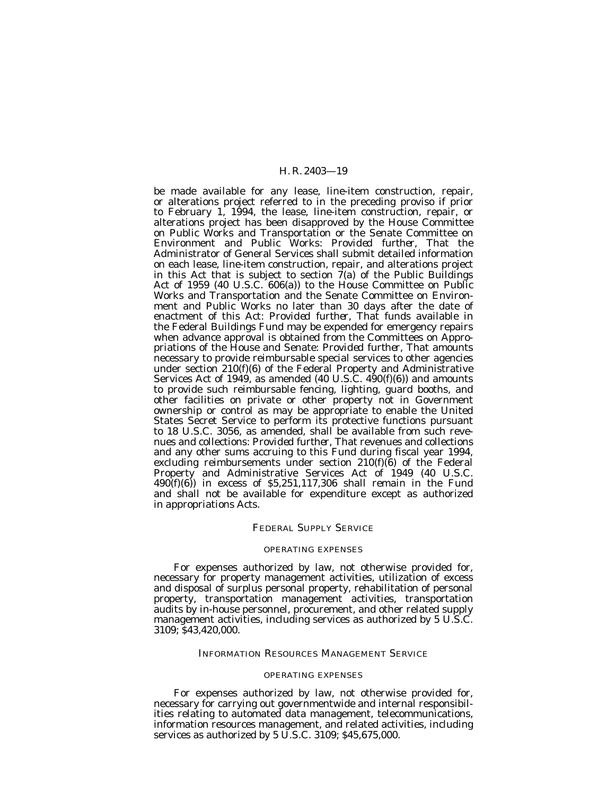be made available for any lease, line-item construction, repair, or alterations project referred to in the preceding proviso if prior to February 1, 1994, the lease, line-item construction, repair, or alterations project has been disapproved by the House Committee on Public Works and Transportation or the Senate Committee on Environment and Public Works: *Provided further*, That the Administrator of General Services shall submit detailed information on each lease, line-item construction, repair, and alterations project in this Act that is subject to section  $7(a)$  of the Public Buildings Act of 1959 (40 U.S.C. 606(a)) to the House Committee on Public Works and Transportation and the Senate Committee on Environment and Public Works no later than 30 days after the date of enactment of this Act: *Provided further,* That funds available in the Federal Buildings Fund may be expended for emergency repairs when advance approval is obtained from the Committees on Appropriations of the House and Senate: *Provided further,* That amounts necessary to provide reimbursable special services to other agencies under section 210(f)(6) of the Federal Property and Administrative Services Act of 1949, as amended (40 U.S.C. 490(f)(6)) and amounts to provide such reimbursable fencing, lighting, guard booths, and other facilities on private or other property not in Government ownership or control as may be appropriate to enable the United States Secret Service to perform its protective functions pursuant to 18 U.S.C. 3056, as amended, shall be available from such revenues and collections: *Provided further,* That revenues and collections and any other sums accruing to this Fund during fiscal year 1994, excluding reimbursements under section  $210(f)(6)$  of the Federal Property and Administrative Services Act of 1949 (40 U.S.C.  $490(f)(6)$ ) in excess of \$5,251,117,306 shall remain in the Fund and shall not be available for expenditure except as authorized in appropriations Acts.

#### FEDERAL SUPPLY SERVICE

#### OPERATING EXPENSES

For expenses authorized by law, not otherwise provided for, necessary for property management activities, utilization of excess and disposal of surplus personal property, rehabilitation of personal property, transportation management activities, transportation audits by in-house personnel, procurement, and other related supply management activities, including services as authorized by 5 U.S.C. 3109; \$43,420,000.

#### INFORMATION RESOURCES MANAGEMENT SERVICE

#### OPERATING EXPENSES

For expenses authorized by law, not otherwise provided for, necessary for carrying out governmentwide and internal responsibilities relating to automated data management, telecommunications, information resources management, and related activities, including services as authorized by 5 U.S.C. 3109; \$45,675,000.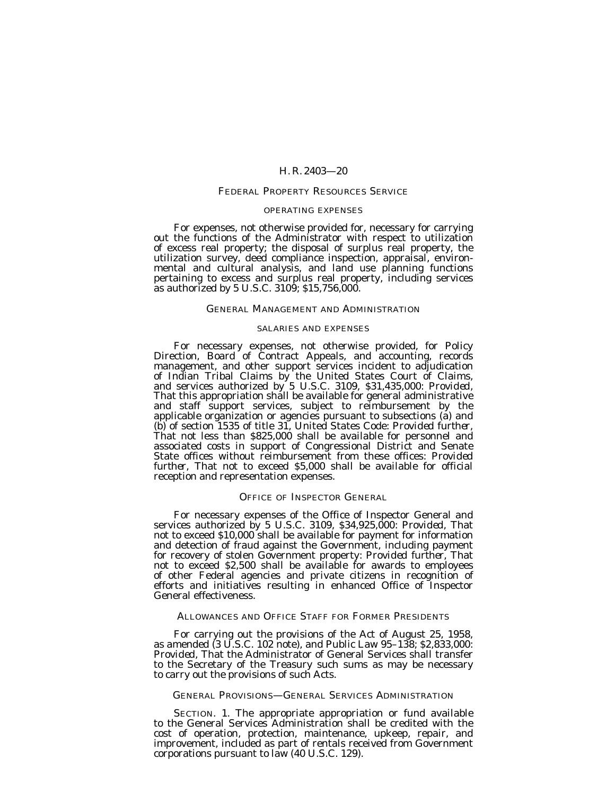### FEDERAL PROPERTY RESOURCES SERVICE

### OPERATING EXPENSES

For expenses, not otherwise provided for, necessary for carrying out the functions of the Administrator with respect to utilization of excess real property; the disposal of surplus real property, the utilization survey, deed compliance inspection, appraisal, environmental and cultural analysis, and land use planning functions pertaining to excess and surplus real property, including services as authorized by 5 U.S.C. 3109; \$15,756,000.

#### GENERAL MANAGEMENT AND ADMINISTRATION

#### SALARIES AND EXPENSES

For necessary expenses, not otherwise provided, for Policy Direction, Board of Contract Appeals, and accounting, records management, and other support services incident to adjudication of Indian Tribal Claims by the United States Court of Claims, and services authorized by 5 U.S.C. 3109, \$31,435,000: *Provided,* That this appropriation shall be available for general administrative and staff support services, subject to reimbursement by the applicable organization or agencies pursuant to subsections (a) and (b) of section 1535 of title 31, United States Code: *Provided further,* That not less than \$825,000 shall be available for personnel and associated costs in support of Congressional District and Senate State offices without reimbursement from these offices: *Provided further,* That not to exceed \$5,000 shall be available for official reception and representation expenses.

### OFFICE OF INSPECTOR GENERAL

For necessary expenses of the Office of Inspector General and services authorized by 5 U.S.C. 3109, \$34,925,000: *Provided,* That not to exceed \$10,000 shall be available for payment for information and detection of fraud against the Government, including payment for recovery of stolen Government property: *Provided further,* That not to exceed \$2,500 shall be available for awards to employees of other Federal agencies and private citizens in recognition of efforts and initiatives resulting in enhanced Office of Inspector General effectiveness.

### ALLOWANCES AND OFFICE STAFF FOR FORMER PRESIDENTS

For carrying out the provisions of the Act of August 25, 1958, as amended (3 U.S.C. 102 note), and Public Law 95–138; \$2,833,000: *Provided,* That the Administrator of General Services shall transfer to the Secretary of the Treasury such sums as may be necessary to carry out the provisions of such Acts.

### GENERAL PROVISIONS—GENERAL SERVICES ADMINISTRATION

SECTION. 1. The appropriate appropriation or fund available to the General Services Administration shall be credited with the cost of operation, protection, maintenance, upkeep, repair, and improvement, included as part of rentals received from Government corporations pursuant to law (40 U.S.C. 129).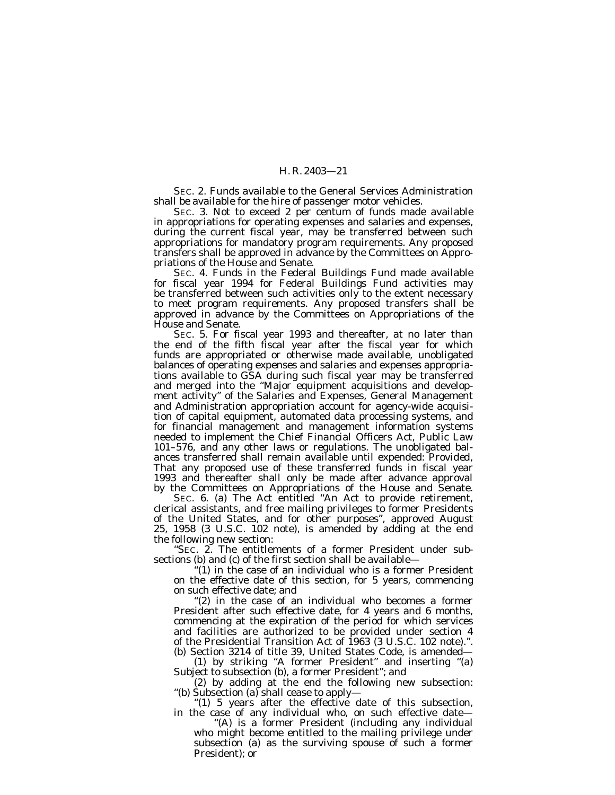SEC. 2. Funds available to the General Services Administration shall be available for the hire of passenger motor vehicles.

SEC. 3. Not to exceed 2 per centum of funds made available in appropriations for operating expenses and salaries and expenses, during the current fiscal year, may be transferred between such appropriations for mandatory program requirements. Any proposed transfers shall be approved in advance by the Committees on Appropriations of the House and Senate.

SEC. 4. Funds in the Federal Buildings Fund made available for fiscal year 1994 for Federal Buildings Fund activities may be transferred between such activities only to the extent necessary to meet program requirements. Any proposed transfers shall be approved in advance by the Committees on Appropriations of the House and Senate.

SEC. 5. For fiscal year 1993 and thereafter, at no later than the end of the fifth fiscal year after the fiscal year for which funds are appropriated or otherwise made available, unobligated balances of operating expenses and salaries and expenses appropriations available to GSA during such fiscal year may be transferred and merged into the ''Major equipment acquisitions and development activity'' of the Salaries and Expenses, General Management and Administration appropriation account for agency-wide acquisition of capital equipment, automated data processing systems, and for financial management and management information systems needed to implement the Chief Financial Officers Act, Public Law 101–576, and any other laws or regulations. The unobligated balances transferred shall remain available until expended: *Provided,* That any proposed use of these transferred funds in fiscal year 1993 and thereafter shall only be made after advance approval by the Committees on Appropriations of the House and Senate.

SEC. 6. (a) The Act entitled "An Act to provide retirement, clerical assistants, and free mailing privileges to former Presidents of the United States, and for other purposes'', approved August 25, 1958 (3 U.S.C. 102 note), is amended by adding at the end the following new section:

"SEC. 2. The entitlements of a former President under subsections (b) and (c) of the first section shall be available—

''(1) in the case of an individual who is a former President on the effective date of this section, for 5 years, commencing on such effective date; and

"(2) in the case of an individual who becomes a former President after such effective date, for 4 years and 6 months, commencing at the expiration of the period for which services and facilities are authorized to be provided under section 4 of the Presidential Transition Act of 1963 (3 U.S.C. 102 note).''.

(b) Section 3214 of title 39, United States Code, is amended— (1) by striking ''A former President'' and inserting ''(a) Subject to subsection (b), a former President''; and

(2) by adding at the end the following new subsection: ''(b) Subsection (a) shall cease to apply—

''(1) 5 years after the effective date of this subsection, in the case of any individual who, on such effective date—

''(A) is a former President (including any individual who might become entitled to the mailing privilege under subsection (a) as the surviving spouse of such a former President); or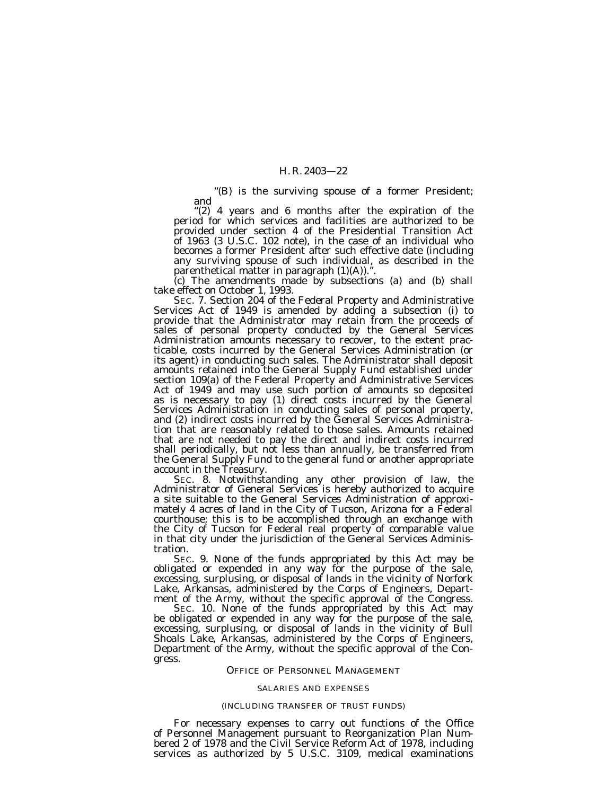"(B) is the surviving spouse of a former President;<br>and<br>"(2) 4 years and 6 months after the expiration of the

period for which services and facilities are authorized to be provided under section 4 of the Presidential Transition Act of 1963 (3 U.S.C. 102 note), in the case of an individual who becomes a former President after such effective date (including any surviving spouse of such individual, as described in the parenthetical matter in paragraph (1)(A)).''.

(c) The amendments made by subsections (a) and (b) shall take effect on October 1, 1993.<br>SEC. 7. Section 204 of the Federal Property and Administrative

Services Act of 1949 is amended by adding a subsection (i) to provide that the Administrator may retain from the proceeds of sales of personal property conducted by the General Services Administration amounts necessary to recover, to the extent practicable, costs incurred by the General Services Administration (or its agent) in conducting such sales. The Administrator shall deposit amounts retained into the General Supply Fund established under section 109(a) of the Federal Property and Administrative Services Act of 1949 and may use such portion of amounts so deposited as is necessary to pay (1) direct costs incurred by the General Services Administration in conducting sales of personal property, and (2) indirect costs incurred by the General Services Administration that are reasonably related to those sales. Amounts retained that are not needed to pay the direct and indirect costs incurred shall periodically, but not less than annually, be transferred from the General Supply Fund to the general fund or another appropriate account in the Treasury.<br>SEC. 8. Notwithstanding any other provision of law, the

Administrator of General Services is hereby authorized to acquire a site suitable to the General Services Administration of approximately 4 acres of land in the City of Tucson, Arizona for a Federal courthouse; this is to be accomplished through an exchange with the City of Tucson for Federal real property of comparable value in that city under the jurisdiction of the General Services Administration.<br>SEC. 9. None of the funds appropriated by this Act may be

obligated or expended in any way for the purpose of the sale, excessing, surplusing, or disposal of lands in the vicinity of Norfork Lake, Arkansas, administered by the Corps of Engineers, Department of the Army, without the specific approval of the Congress.

SEC. 10. None of the funds appropriated by this Act may be obligated or expended in any way for the purpose of the sale, excessing, surplusing, or disposal of lands in the vicinity of Bull Shoals Lake, Arkansas, administered by the Corps of Engineers, Department of the Army, without the specific approval of the Congress.

#### OFFICE OF PERSONNEL MANAGEMENT

#### SALARIES AND EXPENSES

#### (INCLUDING TRANSFER OF TRUST FUNDS)

For necessary expenses to carry out functions of the Office of Personnel Management pursuant to Reorganization Plan Numbered 2 of 1978 and the Civil Service Reform Act of 1978, including services as authorized by 5 U.S.C. 3109, medical examinations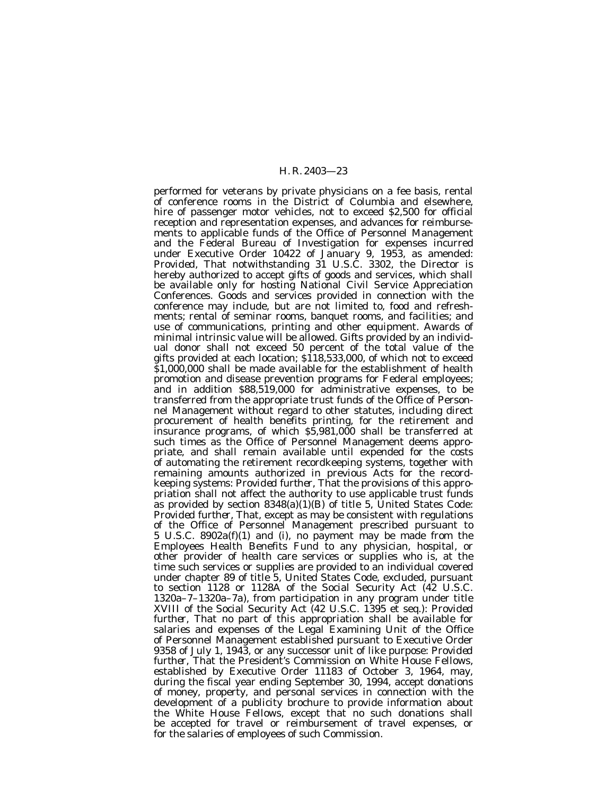performed for veterans by private physicians on a fee basis, rental of conference rooms in the District of Columbia and elsewhere, hire of passenger motor vehicles, not to exceed \$2,500 for official reception and representation expenses, and advances for reimbursements to applicable funds of the Office of Personnel Management and the Federal Bureau of Investigation for expenses incurred under Executive Order 10422 of January 9, 1953, as amended: *Provided*, That notwithstanding 31 U.S.C. 3302, the Director is hereby authorized to accept gifts of goods and services, which shall be available only for hosting National Civil Service Appreciation Conferences. Goods and services provided in connection with the conference may include, but are not limited to, food and refreshments; rental of seminar rooms, banquet rooms, and facilities; and use of communications, printing and other equipment. Awards of minimal intrinsic value will be allowed. Gifts provided by an individual donor shall not exceed 50 percent of the total value of the gifts provided at each location; \$118,533,000, of which not to exceed \$1,000,000 shall be made available for the establishment of health promotion and disease prevention programs for Federal employees; and in addition \$88,519,000 for administrative expenses, to be transferred from the appropriate trust funds of the Office of Personnel Management without regard to other statutes, including direct procurement of health benefits printing, for the retirement and insurance programs, of which \$5,981,000 shall be transferred at such times as the Office of Personnel Management deems appropriate, and shall remain available until expended for the costs of automating the retirement recordkeeping systems, together with remaining amounts authorized in previous Acts for the recordkeeping systems: *Provided further*, That the provisions of this appropriation shall not affect the authority to use applicable trust funds as provided by section  $8348(a)(1)(B)$  of title 5, United States Code: *Provided further,* That, except as may be consistent with regulations of the Office of Personnel Management prescribed pursuant to 5 U.S.C. 8902a(f)(1) and (i), no payment may be made from the Employees Health Benefits Fund to any physician, hospital, or other provider of health care services or supplies who is, at the time such services or supplies are provided to an individual covered under chapter 89 of title 5, United States Code, excluded, pursuant to section 1128 or 1128A of the Social Security Act (42 U.S.C. 1320a–7–1320a–7a), from participation in any program under title XVIII of the Social Security Act (42 U.S.C. 1395 et seq.): *Provided further*, That no part of this appropriation shall be available for salaries and expenses of the Legal Examining Unit of the Office of Personnel Management established pursuant to Executive Order 9358 of July 1, 1943, or any successor unit of like purpose: *Provided further*, That the President's Commission on White House Fellows, established by Executive Order 11183 of October 3, 1964, may, during the fiscal year ending September 30, 1994, accept donations of money, property, and personal services in connection with the development of a publicity brochure to provide information about the White House Fellows, except that no such donations shall be accepted for travel or reimbursement of travel expenses, or for the salaries of employees of such Commission.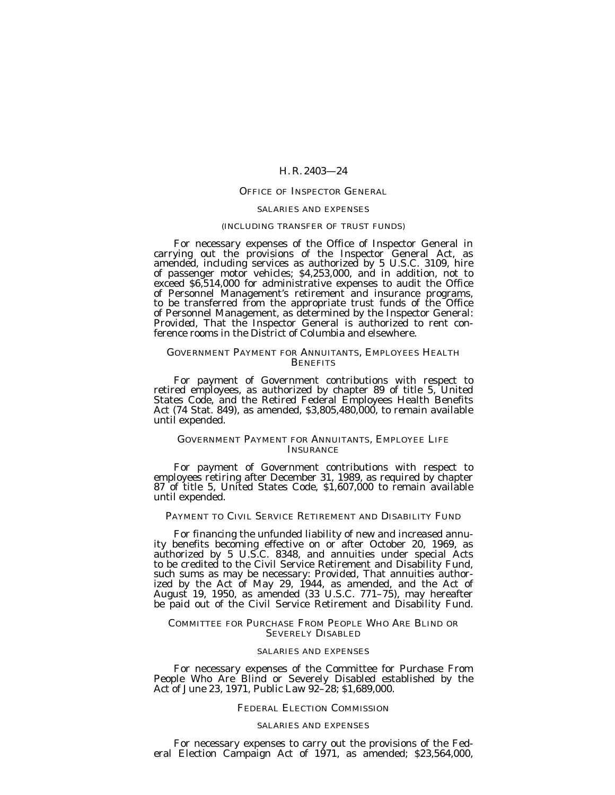#### OFFICE OF INSPECTOR GENERAL

#### SALARIES AND EXPENSES

#### (INCLUDING TRANSFER OF TRUST FUNDS)

For necessary expenses of the Office of Inspector General in carrying out the provisions of the Inspector General Act, as amended, including services as authorized by 5 U.S.C. 3109, hire of passenger motor vehicles; \$4,253,000, and in addition, not to exceed \$6,514,000 for administrative expenses to audit the Office of Personnel Management's retirement and insurance programs, to be transferred from the appropriate trust funds of the Office of Personnel Management, as determined by the Inspector General: *Provided*, That the Inspector General is authorized to rent conference rooms in the District of Columbia and elsewhere.

### GOVERNMENT PAYMENT FOR ANNUITANTS, EMPLOYEES HEALTH **BENEFITS**

For payment of Government contributions with respect to retired employees, as authorized by chapter 89 of title 5, United States Code, and the Retired Federal Employees Health Benefits Act (74 Stat. 849), as amended, \$3,805,480,000, to remain available until expended.

#### GOVERNMENT PAYMENT FOR ANNUITANTS, EMPLOYEE LIFE **INSURANCE**

For payment of Government contributions with respect to employees retiring after December 31, 1989, as required by chapter 87 of title 5, United States Code, \$1,607,000 to remain available until expended.

### PAYMENT TO CIVIL SERVICE RETIREMENT AND DISABILITY FUND

For financing the unfunded liability of new and increased annu- ity benefits becoming effective on or after October 20, 1969, as authorized by 5 U.S.C. 8348, and annuities under special Acts to be credited to the Civil Service Retirement and Disability Fund, such sums as may be necessary: *Provided,* That annuities authorized by the Act of May 29, 1944, as amended, and the Act of August 19, 1950, as amended (33 U.S.C. 771–75), may hereafter be paid out of the Civil Service Retirement and Disability Fund.

#### COMMITTEE FOR PURCHASE FROM PEOPLE WHO ARE BLIND OR SEVERELY DISABLED

#### SALARIES AND EXPENSES

For necessary expenses of the Committee for Purchase From People Who Are Blind or Severely Disabled established by the Act of June 23, 1971, Public Law 92–28; \$1,689,000.

#### FEDERAL ELECTION COMMISSION

#### SALARIES AND EXPENSES

For necessary expenses to carry out the provisions of the Federal Election Campaign Act of 1971, as amended; \$23,564,000,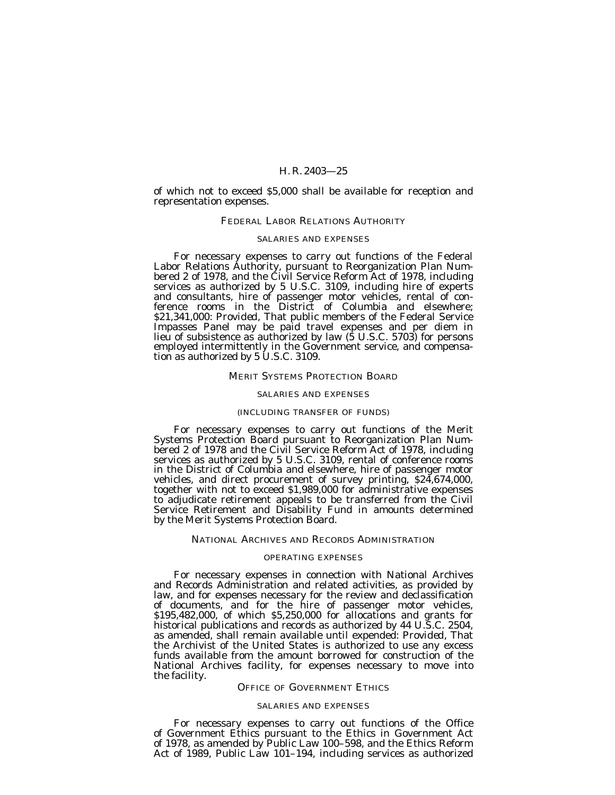of which not to exceed \$5,000 shall be available for reception and representation expenses.

### FEDERAL LABOR RELATIONS AUTHORITY

#### SALARIES AND EXPENSES

For necessary expenses to carry out functions of the Federal Labor Relations Authority, pursuant to Reorganization Plan Numbered 2 of 1978, and the Civil Service Reform Act of 1978, including services as authorized by 5 U.S.C. 3109, including hire of experts and consultants, hire of passenger motor vehicles, rental of conference rooms in the District of Columbia and elsewhere; \$21,341,000: *Provided,* That public members of the Federal Service Impasses Panel may be paid travel expenses and per diem in lieu of subsistence as authorized by law (5 U.S.C. 5703) for persons employed intermittently in the Government service, and compensation as authorized by 5 U.S.C. 3109.

#### MERIT SYSTEMS PROTECTION BOARD

#### SALARIES AND EXPENSES

#### (INCLUDING TRANSFER OF FUNDS)

For necessary expenses to carry out functions of the Merit Systems Protection Board pursuant to Reorganization Plan Numbered 2 of 1978 and the Civil Service Reform Act of 1978, including services as authorized by 5 U.S.C. 3109, rental of conference rooms in the District of Columbia and elsewhere, hire of passenger motor vehicles, and direct procurement of survey printing, \$24,674,000, together with not to exceed \$1,989,000 for administrative expenses to adjudicate retirement appeals to be transferred from the Civil Service Retirement and Disability Fund in amounts determined by the Merit Systems Protection Board.

#### NATIONAL ARCHIVES AND RECORDS ADMINISTRATION

#### OPERATING EXPENSES

For necessary expenses in connection with National Archives and Records Administration and related activities, as provided by law, and for expenses necessary for the review and declassification of documents, and for the hire of passenger motor vehicles, \$195,482,000, of which \$5,250,000 for allocations and grants for historical publications and records as authorized by 44 U.S.C. 2504, as amended, shall remain available until expended: *Provided,* That the Archivist of the United States is authorized to use any excess funds available from the amount borrowed for construction of the National Archives facility, for expenses necessary to move into the facility.

#### OFFICE OF GOVERNMENT ETHICS

#### SALARIES AND EXPENSES

For necessary expenses to carry out functions of the Office of Government Ethics pursuant to the Ethics in Government Act of 1978, as amended by Public Law 100–598, and the Ethics Reform Act of 1989, Public Law 101-194, including services as authorized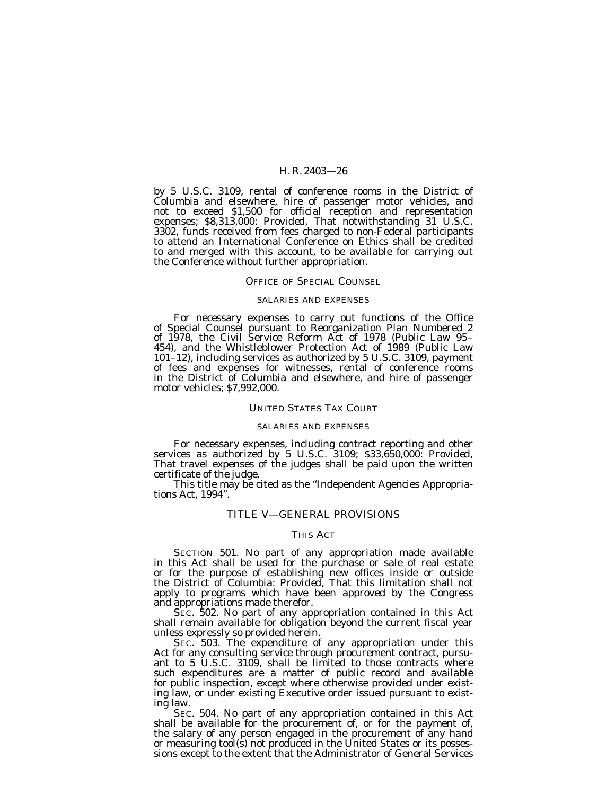by 5 U.S.C. 3109, rental of conference rooms in the District of Columbia and elsewhere, hire of passenger motor vehicles, and not to exceed \$1,500 for official reception and representation expenses; \$8,313,000: *Provided,* That notwithstanding 31 U.S.C. 3302, funds received from fees charged to non-Federal participants to attend an International Conference on Ethics shall be credited to and merged with this account, to be available for carrying out the Conference without further appropriation.

#### OFFICE OF SPECIAL COUNSEL

#### SALARIES AND EXPENSES

For necessary expenses to carry out functions of the Office of Special Counsel pursuant to Reorganization Plan Numbered 2 of 1978, the Civil Service Reform Act of 1978 (Public Law 95– 454), and the Whistleblower Protection Act of 1989 (Public Law 101–12), including services as authorized by 5 U.S.C. 3109, payment of fees and expenses for witnesses, rental of conference rooms in the District of Columbia and elsewhere, and hire of passenger motor vehicles; \$7,992,000.

### UNITED STATES TAX COURT

#### SALARIES AND EXPENSES

For necessary expenses, including contract reporting and other services as authorized by 5 U.S.C. 3109; \$33,650,000: *Provided,* That travel expenses of the judges shall be paid upon the written certificate of the judge.

This title may be cited as the ''Independent Agencies Appropriations Act, 1994''.

### TITLE V—GENERAL PROVISIONS

#### THIS ACT

SECTION 501. No part of any appropriation made available in this Act shall be used for the purchase or sale of real estate or for the purpose of establishing new offices inside or outside the District of Columbia: *Provided,* That this limitation shall not apply to programs which have been approved by the Congress and appropriations made therefor.

SEC. 502. No part of any appropriation contained in this Act shall remain available for obligation beyond the current fiscal year unless expressly so provided herein.

SEC. 503. The expenditure of any appropriation under this Act for any consulting service through procurement contract, pursuant to 5 U.S.C. 3109, shall be limited to those contracts where such expenditures are a matter of public record and available for public inspection, except where otherwise provided under existing law, or under existing Executive order issued pursuant to existing law.

SEC. 504. No part of any appropriation contained in this Act shall be available for the procurement of, or for the payment of, the salary of any person engaged in the procurement of any hand or measuring tool(s) not produced in the United States or its possessions except to the extent that the Administrator of General Services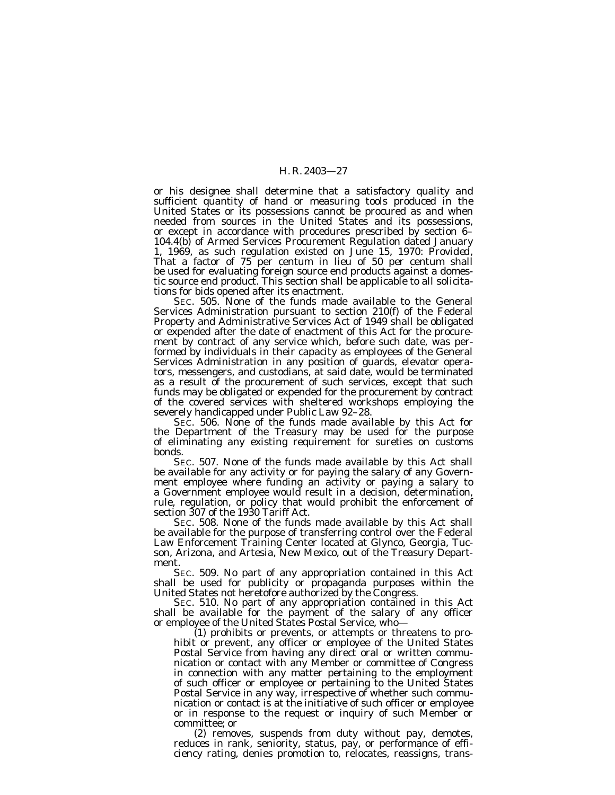or his designee shall determine that a satisfactory quality and sufficient quantity of hand or measuring tools produced in the United States or its possessions cannot be procured as and when needed from sources in the United States and its possessions, or except in accordance with procedures prescribed by section 6– 104.4(b) of Armed Services Procurement Regulation dated January 1, 1969, as such regulation existed on June 15, 1970: *Provided,* That a factor of 75 per centum in lieu of 50 per centum shall be used for evaluating foreign source end products against a domestic source end product. This section shall be applicable to all solicitations for bids opened after its enactment.

SEC. 505. None of the funds made available to the General Services Administration pursuant to section 210(f) of the Federal Property and Administrative Services Act of 1949 shall be obligated or expended after the date of enactment of this Act for the procurement by contract of any service which, before such date, was performed by individuals in their capacity as employees of the General Services Administration in any position of guards, elevator operators, messengers, and custodians, at said date, would be terminated as a result of the procurement of such services, except that such funds may be obligated or expended for the procurement by contract of the covered services with sheltered workshops employing the severely handicapped under Public Law 92–28.

SEC. 506. None of the funds made available by this Act for the Department of the Treasury may be used for the purpose of eliminating any existing requirement for sureties on customs bonds.

SEC. 507. None of the funds made available by this Act shall be available for any activity or for paying the salary of any Government employee where funding an activity or paying a salary to a Government employee would result in a decision, determination, rule, regulation, or policy that would prohibit the enforcement of section 307 of the 1930 Tariff Act.

SEC. 508. None of the funds made available by this Act shall be available for the purpose of transferring control over the Federal Law Enforcement Training Center located at Glynco, Georgia, Tucson, Arizona, and Artesia, New Mexico, out of the Treasury Department.

SEC. 509. No part of any appropriation contained in this Act shall be used for publicity or propaganda purposes within the United States not heretofore authorized by the Congress.

SEC. 510. No part of any appropriation contained in this Act shall be available for the payment of the salary of any officer<br>or employee of the United States Postal Service, who—

 $(1)$  prohibits or prevents, or attempts or threatens to prohibit or prevent, any officer or employee of the United States Postal Service from having any direct oral or written communication or contact with any Member or committee of Congress in connection with any matter pertaining to the employment of such officer or employee or pertaining to the United States Postal Service in any way, irrespective of whether such communication or contact is at the initiative of such officer or employee or in response to the request or inquiry of such Member or committee; or

(2) removes, suspends from duty without pay, demotes, reduces in rank, seniority, status, pay, or performance of efficiency rating, denies promotion to, relocates, reassigns, trans-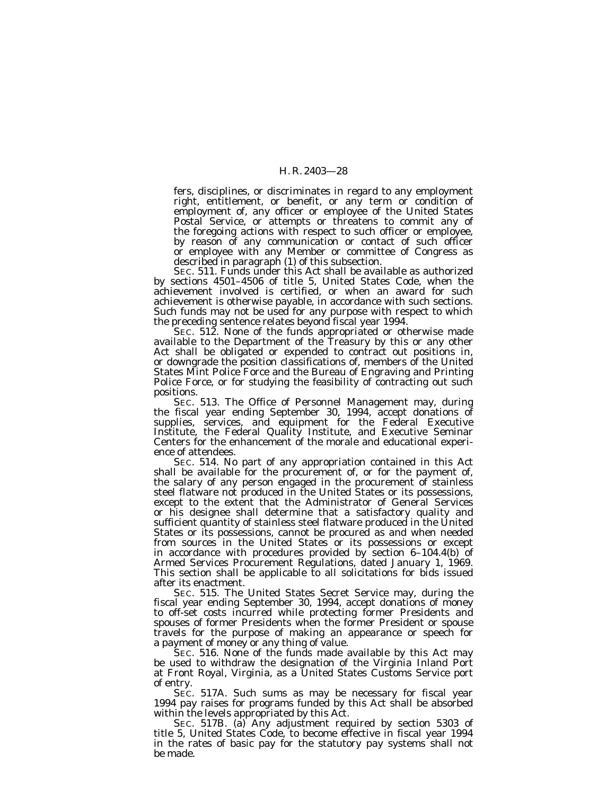fers, disciplines, or discriminates in regard to any employment right, entitlement, or benefit, or any term or condition of employment of, any officer or employee of the United States Postal Service, or attempts or threatens to commit any of the foregoing actions with respect to such officer or employee, by reason of any communication or contact of such officer or employee with any Member or committee of Congress as described in paragraph (1) of this subsection.

SEC. 511. Funds under this Act shall be available as authorized by sections 4501–4506 of title 5, United States Code, when the achievement involved is certified, or when an award for such achievement is otherwise payable, in accordance with such sections. Such funds may not be used for any purpose with respect to which the preceding sentence relates beyond fiscal year 1994.

SEC. 512. None of the funds appropriated or otherwise made available to the Department of the Treasury by this or any other Act shall be obligated or expended to contract out positions in, or downgrade the position classifications of, members of the United States Mint Police Force and the Bureau of Engraving and Printing Police Force, or for studying the feasibility of contracting out such positions.

SEC. 513. The Office of Personnel Management may, during the fiscal year ending September 30, 1994, accept donations of supplies, services, and equipment for the Federal Executive Institute, the Federal Quality Institute, and Executive Seminar Centers for the enhancement of the morale and educational experience of attendees.

SEC. 514. No part of any appropriation contained in this Act shall be available for the procurement of, or for the payment of, the salary of any person engaged in the procurement of stainless steel flatware not produced in the United States or its possessions, except to the extent that the Administrator of General Services or his designee shall determine that a satisfactory quality and sufficient quantity of stainless steel flatware produced in the United States or its possessions, cannot be procured as and when needed from sources in the United States or its possessions or except in accordance with procedures provided by section 6–104.4(b) of Armed Services Procurement Regulations, dated January 1, 1969. This section shall be applicable to all solicitations for bids issued after its enactment.

SEC. 515. The United States Secret Service may, during the fiscal year ending September 30, 1994, accept donations of money to off-set costs incurred while protecting former Presidents and spouses of former Presidents when the former President or spouse travels for the purpose of making an appearance or speech for a payment of money or any thing of value.

SEC. 516. None of the funds made available by this Act may be used to withdraw the designation of the Virginia Inland Port at Front Royal, Virginia, as a United States Customs Service port of entry.

SEC. 517A. Such sums as may be necessary for fiscal year 1994 pay raises for programs funded by this Act shall be absorbed within the levels appropriated by this Act.

SEC. 517B. (a) Any adjustment required by section 5303 of title 5, United States Code, to become effective in fiscal year 1994 in the rates of basic pay for the statutory pay systems shall not be made.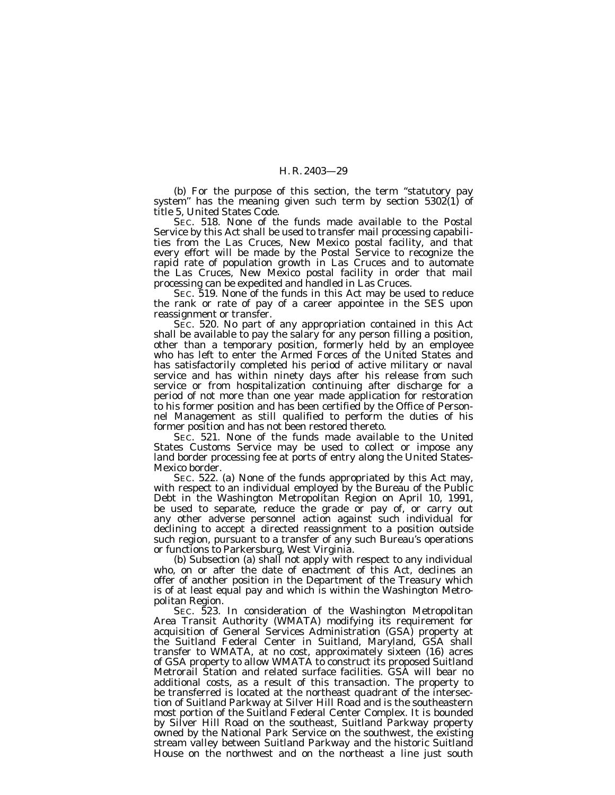(b) For the purpose of this section, the term ''statutory pay system" has the meaning given such term by section  $5302(1)$  of title 5, United States Code.

SEC. 518. None of the funds made available to the Postal Service by this Act shall be used to transfer mail processing capabilities from the Las Cruces, New Mexico postal facility, and that every effort will be made by the Postal Service to recognize the rapid rate of population growth in Las Cruces and to automate the Las Cruces, New Mexico postal facility in order that mail processing can be expedited and handled in Las Cruces.

SEC. 519. None of the funds in this Act may be used to reduce the rank or rate of pay of a career appointee in the SES upon reassignment or transfer.

SEC. 520. No part of any appropriation contained in this Act shall be available to pay the salary for any person filling a position, other than a temporary position, formerly held by an employee who has left to enter the Armed Forces of the United States and has satisfactorily completed his period of active military or naval service and has within ninety days after his release from such service or from hospitalization continuing after discharge for a period of not more than one year made application for restoration to his former position and has been certified by the Office of Personnel Management as still qualified to perform the duties of his former position and has not been restored thereto.

SEC. 521. None of the funds made available to the United States Customs Service may be used to collect or impose any land border processing fee at ports of entry along the United States-Mexico border.

SEC. 522. (a) None of the funds appropriated by this Act may, with respect to an individual employed by the Bureau of the Public Debt in the Washington Metropolitan Region on April 10, 1991, be used to separate, reduce the grade or pay of, or carry out any other adverse personnel action against such individual for declining to accept a directed reassignment to a position outside such region, pursuant to a transfer of any such Bureau's operations or functions to Parkersburg, West Virginia.

(b) Subsection (a) shall not apply with respect to any individual who, on or after the date of enactment of this Act, declines an offer of another position in the Department of the Treasury which is of at least equal pay and which is within the Washington Metropolitan Region.

SEC. 523. In consideration of the Washington Metropolitan Area Transit Authority (WMATA) modifying its requirement for acquisition of General Services Administration (GSA) property at the Suitland Federal Center in Suitland, Maryland, GSA shall transfer to WMATA, at no cost, approximately sixteen (16) acres of GSA property to allow WMATA to construct its proposed Suitland Metrorail Station and related surface facilities. GSA will bear no additional costs, as a result of this transaction. The property to be transferred is located at the northeast quadrant of the intersection of Suitland Parkway at Silver Hill Road and is the southeastern most portion of the Suitland Federal Center Complex. It is bounded by Silver Hill Road on the southeast, Suitland Parkway property owned by the National Park Service on the southwest, the existing stream valley between Suitland Parkway and the historic Suitland House on the northwest and on the northeast a line just south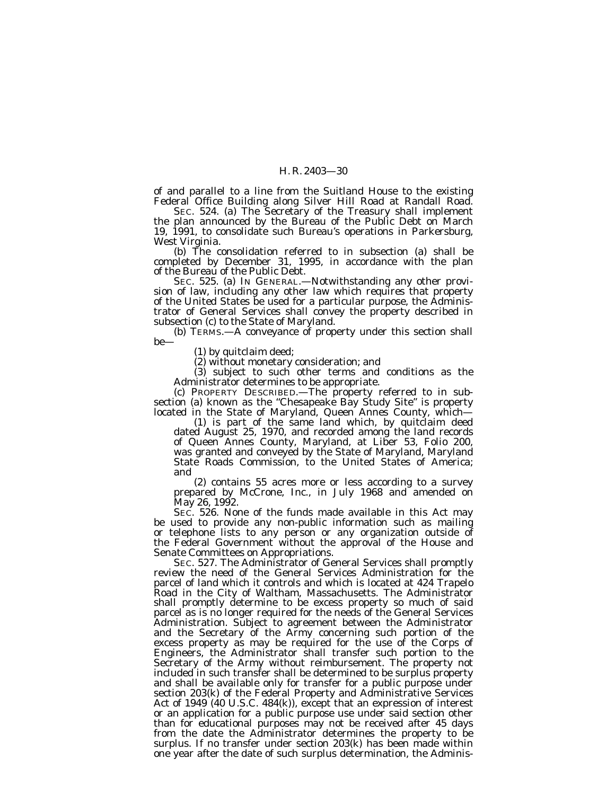of and parallel to a line from the Suitland House to the existing Federal Office Building along Silver Hill Road at Randall Road.

SEC. 524. (a) The Secretary of the Treasury shall implement the plan announced by the Bureau of the Public Debt on March 19, 1991, to consolidate such Bureau's operations in Parkersburg, West Virginia.

(b) The consolidation referred to in subsection (a) shall be completed by December 31, 1995, in accordance with the plan of the Bureau of the Public Debt.

SEC. 525. (a) IN GENERAL.—Notwithstanding any other provision of law, including any other law which requires that property of the United States be used for a particular purpose, the Administrator of General Services shall convey the property described in subsection (c) to the State of Maryland.

(b) TERMS.—A conveyance of property under this section shall be—

(1) by quitclaim deed;

(2) without monetary consideration; and

(3) subject to such other terms and conditions as the Administrator determines to be appropriate.

(c) PROPERTY DESCRIBED.—The property referred to in subsection (a) known as the ''Chesapeake Bay Study Site'' is property located in the State of Maryland, Queen Annes County, which—

(1) is part of the same land which, by quitclaim deed dated August 25, 1970, and recorded among the land records of Queen Annes County, Maryland, at Liber 53, Folio 200, was granted and conveyed by the State of Maryland, Maryland State Roads Commission, to the United States of America; and

(2) contains 55 acres more or less according to a survey prepared by McCrone, Inc., in July 1968 and amended on May 26, 1992.

SEC. 526. None of the funds made available in this Act may be used to provide any non-public information such as mailing or telephone lists to any person or any organization outside of the Federal Government without the approval of the House and Senate Committees on Appropriations.

SEC. 527. The Administrator of General Services shall promptly review the need of the General Services Administration for the parcel of land which it controls and which is located at 424 Trapelo Road in the City of Waltham, Massachusetts. The Administrator shall promptly determine to be excess property so much of said parcel as is no longer required for the needs of the General Services Administration. Subject to agreement between the Administrator and the Secretary of the Army concerning such portion of the excess property as may be required for the use of the Corps of Engineers, the Administrator shall transfer such portion to the Secretary of the Army without reimbursement. The property not included in such transfer shall be determined to be surplus property and shall be available only for transfer for a public purpose under section 203(k) of the Federal Property and Administrative Services Act of 1949 (40 U.S.C. 484(k)), except that an expression of interest or an application for a public purpose use under said section other than for educational purposes may not be received after 45 days from the date the Administrator determines the property to be surplus. If no transfer under section 203(k) has been made within one year after the date of such surplus determination, the Adminis-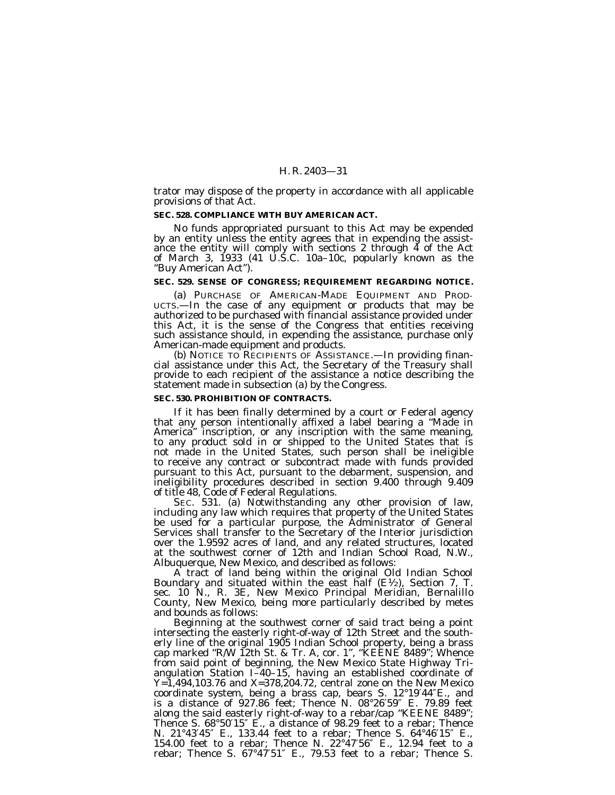trator may dispose of the property in accordance with all applicable provisions of that Act.

### **SEC. 528. COMPLIANCE WITH BUY AMERICAN ACT.**

No funds appropriated pursuant to this Act may be expended by an entity unless the entity agrees that in expending the assistance the entity will comply with sections 2 through 4 of the Act of March 3, 1933 (41 U.S.C. 10a–10c, popularly known as the ''Buy American Act'').

### **SEC. 529. SENSE OF CONGRESS; REQUIREMENT REGARDING NOTICE.**

(a) PURCHASE OF AMERICAN-MADE EQUIPMENT AND PROD-UCTS.—In the case of any equipment or products that may be authorized to be purchased with financial assistance provided under this Act, it is the sense of the Congress that entities receiving such assistance should, in expending the assistance, purchase only<br>American-made equipment and products.

(b) NOTICE TO RECIPIENTS OF ASSISTANCE.—In providing finan- cial assistance under this Act, the Secretary of the Treasury shall provide to each recipient of the assistance a notice describing the statement made in subsection (a) by the Congress.

### **SEC. 530. PROHIBITION OF CONTRACTS.**

If it has been finally determined by a court or Federal agency that any person intentionally affixed a label bearing a "Made in America" inscription, or any inscription with the same meaning, to any product sold in or shipped to the United States that is not made in the United States, such person shall be ineligible to receive any contract or subcontract made with funds provided pursuant to this Act, pursuant to the debarment, suspension, and ineligibility procedures described in section 9.400 through 9.409 of title 48, Code of Federal Regulations.

SEC. 531. (a) Notwithstanding any other provision of law, including any law which requires that property of the United States be used for a particular purpose, the Administrator of General Services shall transfer to the Secretary of the Interior jurisdiction over the 1.9592 acres of land, and any related structures, located at the southwest corner of 12th and Indian School Road, N.W., Albuquerque, New Mexico, and described as follows:

A tract of land being within the original Old Indian School Boundary and situated within the east half  $(E<sup>1</sup>/2)$ , Section 7, T. sec. 10 N., R. 3E, New Mexico Principal Meridian, Bernalillo County, New Mexico, being more particularly described by metes and bounds as follows:

Beginning at the southwest corner of said tract being a point intersecting the easterly right-of-way of 12th Street and the southerly line of the original 1905 Indian School property, being a brass cap marked ''R/W 12th St. & Tr. A, cor. 1'', ''KEENE 8489''; Whence from said point of beginning, the New Mexico State Highway Triangulation Station I–40–15, having an established coordinate of Y=1,494,103.76 and X=378,204.72, central zone on the New Mexico coordinate system, being a brass cap, bears S. 12°19′44″E., and is a distance of 927.86 feet; Thence N. 08°26′59″ E. 79.89 feet along the said easterly right-of-way to a rebar/cap ''KEENE 8489''; Thence S. 68°50′15″ E., a distance of 98.29 feet to a rebar; Thence N. 21°43′45″ E., 133.44 feet to a rebar; Thence S. 64°46′15″ E., 154.00 feet to a rebar; Thence N. 22°47′56″ E., 12.94 feet to a rebar; Thence S. 67°47′51″ E., 79.53 feet to a rebar; Thence S.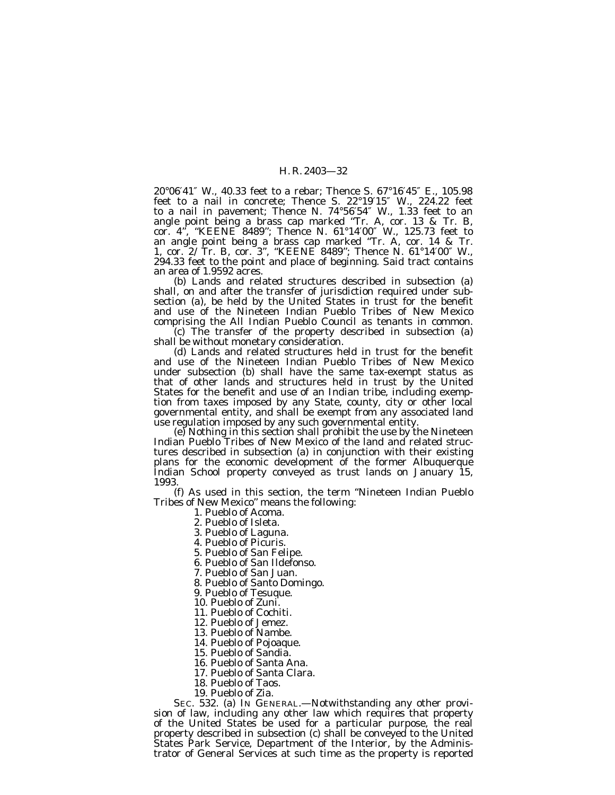20°06′41″ W., 40.33 feet to a rebar; Thence S. 67°16′45″ E., 105.98 feet to a nail in concrete; Thence S. 22°19′15″ W., 224.22 feet to a nail in pavement; Thence N. 74°56′54″ W., 1.33 feet to an angle point being a brass cap marked ''Tr. A, cor. 13 & Tr. B, cor. 4'', ''KEENE 8489''; Thence N. 61°14′00″ W., 125.73 feet to an angle point being a brass cap marked ''Tr. A, cor. 14 & Tr. 1, cor. 2/ Tr. B, cor. 3'', ''KEENE 8489''; Thence N. 61°14′00″ W., 294.33 feet to the point and place of beginning. Said tract contains an area of 1.9592 acres.

(b) Lands and related structures described in subsection (a) shall, on and after the transfer of jurisdiction required under subsection (a), be held by the United States in trust for the benefit and use of the Nineteen Indian Pueblo Tribes of New Mexico comprising the All Indian Pueblo Council as tenants in common.

(c) The transfer of the property described in subsection (a) shall be without monetary consideration.

(d) Lands and related structures held in trust for the benefit and use of the Nineteen Indian Pueblo Tribes of New Mexico under subsection (b) shall have the same tax-exempt status as that of other lands and structures held in trust by the United States for the benefit and use of an Indian tribe, including exemption from taxes imposed by any State, county, city or other local governmental entity, and shall be exempt from any associated land use regulation imposed by any such governmental entity.

(e) Nothing in this section shall prohibit the use by the Nineteen Indian Pueblo Tribes of New Mexico of the land and related structures described in subsection (a) in conjunction with their existing plans for the economic development of the former Albuquerque Indian School property conveyed as trust lands on January 15, 1993.

(f) As used in this section, the term ''Nineteen Indian Pueblo Tribes of New Mexico'' means the following:

1. Pueblo of Acoma.

2. Pueblo of Isleta.

3. Pueblo of Laguna.

4. Pueblo of Picuris.

5. Pueblo of San Felipe.

6. Pueblo of San Ildefonso.

7. Pueblo of San Juan.

8. Pueblo of Santo Domingo.

9. Pueblo of Tesuque.

10. Pueblo of Zuni.

11. Pueblo of Cochiti.

12. Pueblo of Jemez.

13. Pueblo of Nambe.

14. Pueblo of Pojoaque.

15. Pueblo of Sandia.

16. Pueblo of Santa Ana.

17. Pueblo of Santa Clara.

18. Pueblo of Taos.

19. Pueblo of Zia.

SEC. 532. (a) IN GENERAL.—Notwithstanding any other provision of law, including any other law which requires that property of the United States be used for a particular purpose, the real property described in subsection (c) shall be conveyed to the United States Park Service, Department of the Interior, by the Administrator of General Services at such time as the property is reported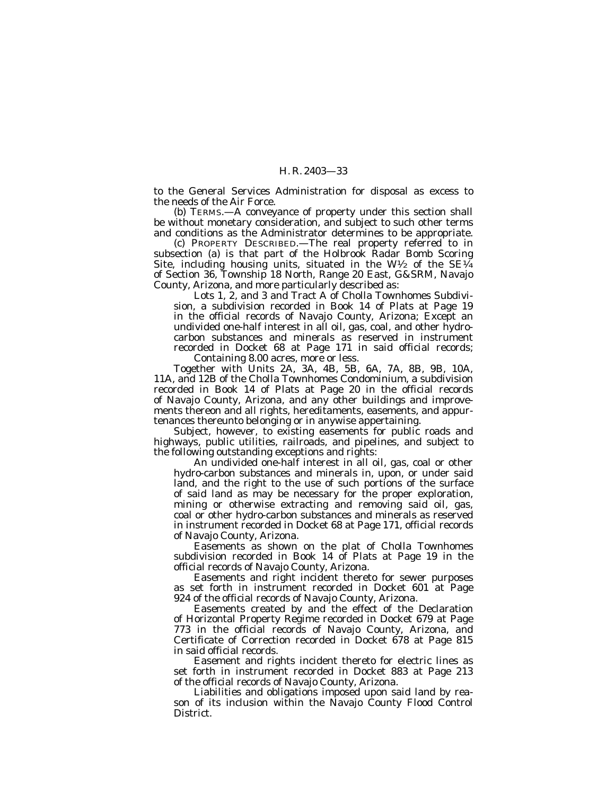to the General Services Administration for disposal as excess to the needs of the Air Force.

(b) TERMS.—A conveyance of property under this section shall be without monetary consideration, and subject to such other terms and conditions as the Administrator determines to be appropriate.

(c) PROPERTY DESCRIBED.—The real property referred to in subsection (a) is that part of the Holbrook Radar Bomb Scoring Site, including housing units, situated in the W<sup>1</sup>/2 of the SE<sup>1</sup>/4 of Section 36, Township 18 North, Range 20 East, G&SRM, Navajo County, Arizona, and more particularly described as:

Lots 1, 2, and 3 and Tract A of Cholla Townhomes Subdivision, a subdivision recorded in Book 14 of Plats at Page 19 in the official records of Navajo County, Arizona; Except an undivided one-half interest in all oil, gas, coal, and other hydrocarbon substances and minerals as reserved in instrument recorded in Docket 68 at Page 171 in said official records;

Containing 8.00 acres, more or less.

Together with Units 2A, 3A, 4B, 5B, 6A, 7A, 8B, 9B, 10A, 11A, and 12B of the Cholla Townhomes Condominium, a subdivision recorded in Book 14 of Plats at Page 20 in the official records of Navajo County, Arizona, and any other buildings and improvements thereon and all rights, hereditaments, easements, and appurtenances thereunto belonging or in anywise appertaining.

Subject, however, to existing easements for public roads and highways, public utilities, railroads, and pipelines, and subject to the following outstanding exceptions and rights:

An undivided one-half interest in all oil, gas, coal or other hydro-carbon substances and minerals in, upon, or under said land, and the right to the use of such portions of the surface of said land as may be necessary for the proper exploration, mining or otherwise extracting and removing said oil, gas, coal or other hydro-carbon substances and minerals as reserved in instrument recorded in Docket 68 at Page 171, official records of Navajo County, Arizona.

Easements as shown on the plat of Cholla Townhomes subdivision recorded in Book 14 of Plats at Page 19 in the official records of Navajo County, Arizona.

Easements and right incident thereto for sewer purposes as set forth in instrument recorded in Docket 601 at Page 924 of the official records of Navajo County, Arizona.

Easements created by and the effect of the Declaration of Horizontal Property Regime recorded in Docket 679 at Page 773 in the official records of Navajo County, Arizona, and Certificate of Correction recorded in Docket 678 at Page 815 in said official records.

Easement and rights incident thereto for electric lines as set forth in instrument recorded in Docket 883 at Page 213 of the official records of Navajo County, Arizona.

Liabilities and obligations imposed upon said land by reason of its inclusion within the Navajo County Flood Control District.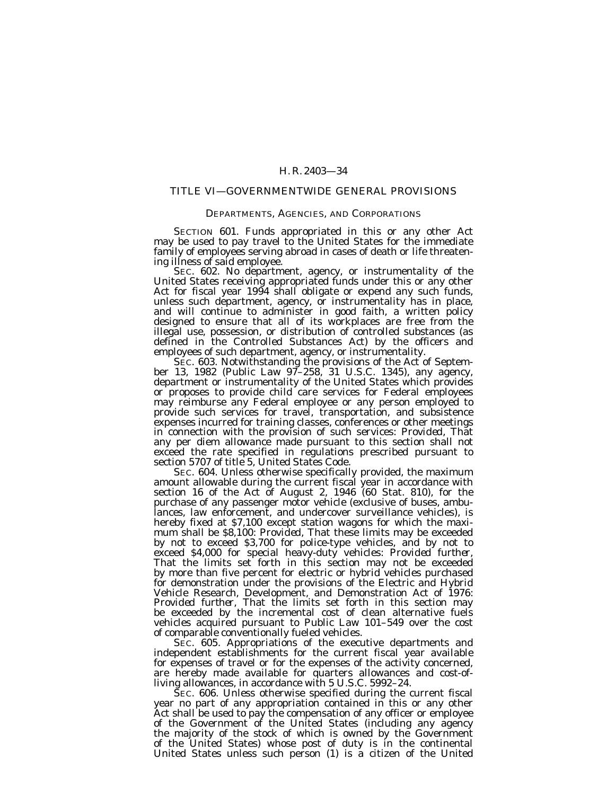### TITLE VI—GOVERNMENTWIDE GENERAL PROVISIONS

### DEPARTMENTS, AGENCIES, AND CORPORATIONS

SECTION 601. Funds appropriated in this or any other Act may be used to pay travel to the United States for the immediate family of employees serving abroad in cases of death or life threatening illness of said employee.

SEC. 602. No department, agency, or instrumentality of the United States receiving appropriated funds under this or any other Act for fiscal year 1994 shall obligate or expend any such funds, unless such department, agency, or instrumentality has in place, and will continue to administer in good faith, a written policy designed to ensure that all of its workplaces are free from the illegal use, possession, or distribution of controlled substances (as defined in the Controlled Substances Act) by the officers and employees of such department, agency, or instrumentality.

SEC. 603. Notwithstanding the provisions of the Act of September 13, 1982 (Public Law 97–258, 31 U.S.C. 1345), any agency, department or instrumentality of the United States which provides or proposes to provide child care services for Federal employees may reimburse any Federal employee or any person employed to provide such services for travel, transportation, and subsistence expenses incurred for training classes, conferences or other meetings in connection with the provision of such services: *Provided,* That any per diem allowance made pursuant to this section shall not exceed the rate specified in regulations prescribed pursuant to section 5707 of title 5, United States Code.

SEC. 604. Unless otherwise specifically provided, the maximum amount allowable during the current fiscal year in accordance with section 16 of the Act of August 2, 1946 (60 Stat. 810), for the purchase of any passenger motor vehicle (exclusive of buses, ambulances, law enforcement, and undercover surveillance vehicles), is hereby fixed at \$7,100 except station wagons for which the maximum shall be \$8,100: *Provided,* That these limits may be exceeded by not to exceed \$3,700 for police-type vehicles, and by not to exceed \$4,000 for special heavy-duty vehicles: *Provided further,* That the limits set forth in this section may not be exceeded by more than five percent for electric or hybrid vehicles purchased for demonstration under the provisions of the Electric and Hybrid Vehicle Research, Development, and Demonstration Act of 1976: *Provided further,* That the limits set forth in this section may be exceeded by the incremental cost of clean alternative fuels vehicles acquired pursuant to Public Law 101–549 over the cost of comparable conventionally fueled vehicles.

SEC. 605. Appropriations of the executive departments and independent establishments for the current fiscal year available for expenses of travel or for the expenses of the activity concerned, are hereby made available for quarters allowances and cost-ofliving allowances, in accordance with 5 U.S.C. 5992–24.

SEC. 606. Unless otherwise specified during the current fiscal year no part of any appropriation contained in this or any other Act shall be used to pay the compensation of any officer or employee of the Government of the United States (including any agency the majority of the stock of which is owned by the Government of the United States) whose post of duty is in the continental United States unless such person (1) is a citizen of the United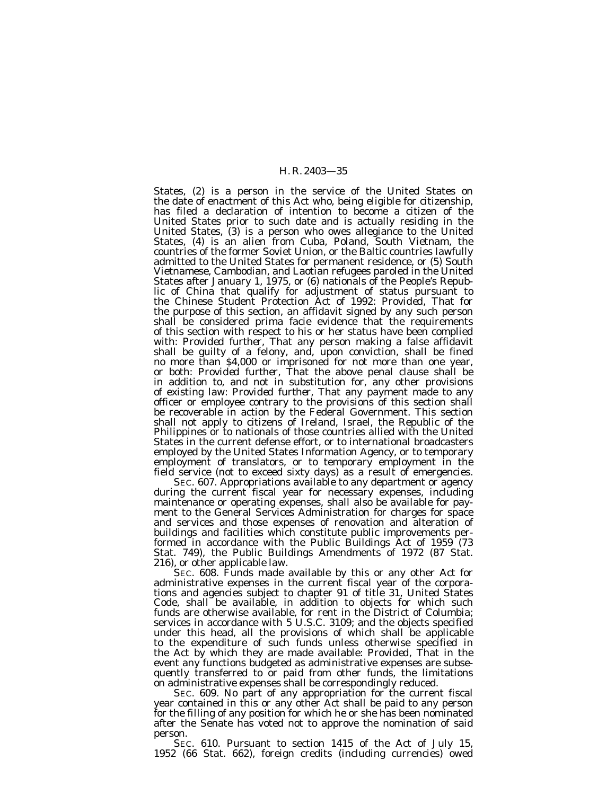States, (2) is a person in the service of the United States on the date of enactment of this Act who, being eligible for citizenship, has filed a declaration of intention to become a citizen of the United States prior to such date and is actually residing in the United States, (3) is a person who owes allegiance to the United States, (4) is an alien from Cuba, Poland, South Vietnam, the countries of the former Soviet Union, or the Baltic countries lawfully admitted to the United States for permanent residence, or (5) South Vietnamese, Cambodian, and Laotian refugees paroled in the United States after January 1, 1975, or (6) nationals of the People's Republic of China that qualify for adjustment of status pursuant to the Chinese Student Protection Act of 1992: *Provided,* That for the purpose of this section, an affidavit signed by any such person shall be considered prima facie evidence that the requirements of this section with respect to his or her status have been complied with: *Provided further,* That any person making a false affidavit shall be guilty of a felony, and, upon conviction, shall be fined no more than \$4,000 or imprisoned for not more than one year, or both: *Provided further,* That the above penal clause shall be in addition to, and not in substitution for, any other provisions of existing law: *Provided further,* That any payment made to any officer or employee contrary to the provisions of this section shall be recoverable in action by the Federal Government. This section shall not apply to citizens of Ireland, Israel, the Republic of the Philippines or to nationals of those countries allied with the United States in the current defense effort, or to international broadcasters employed by the United States Information Agency, or to temporary employment of translators, or to temporary employment in the field service (not to exceed sixty days) as a result of emergencies.

SEC. 607. Appropriations available to any department or agency during the current fiscal year for necessary expenses, including maintenance or operating expenses, shall also be available for payment to the General Services Administration for charges for space and services and those expenses of renovation and alteration of buildings and facilities which constitute public improvements performed in accordance with the Public Buildings Act of 1959 (73 Stat. 749), the Public Buildings Amendments of 1972 (87 Stat. 216), or other applicable law.

SEC. 608. Funds made available by this or any other Act for administrative expenses in the current fiscal year of the corporations and agencies subject to chapter 91 of title 31, United States Code, shall be available, in addition to objects for which such funds are otherwise available, for rent in the District of Columbia; services in accordance with 5 U.S.C. 3109; and the objects specified under this head, all the provisions of which shall be applicable to the expenditure of such funds unless otherwise specified in the Act by which they are made available: *Provided,* That in the event any functions budgeted as administrative expenses are subsequently transferred to or paid from other funds, the limitations on administrative expenses shall be correspondingly reduced.

SEC. 609. No part of any appropriation for the current fiscal year contained in this or any other Act shall be paid to any person for the filling of any position for which he or she has been nominated after the Senate has voted not to approve the nomination of said person.

SEC. 610. Pursuant to section 1415 of the Act of July 15, 1952 (66 Stat. 662), foreign credits (including currencies) owed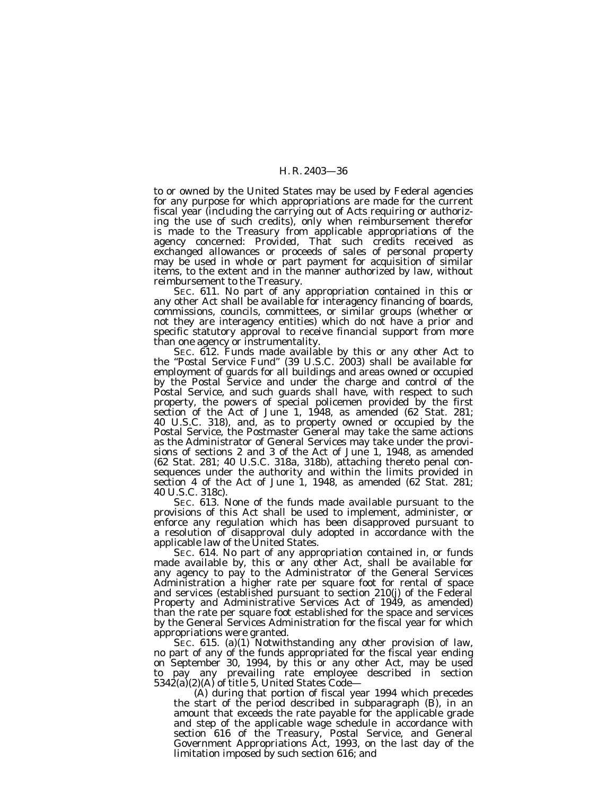to or owned by the United States may be used by Federal agencies for any purpose for which appropriations are made for the current fiscal year (including the carrying out of Acts requiring or authorizing the use of such credits), only when reimbursement therefor is made to the Treasury from applicable appropriations of the agency concerned: *Provided,* That such credits received as exchanged allowances or proceeds of sales of personal property may be used in whole or part payment for acquisition of similar items, to the extent and in the manner authorized by law, without reimbursement to the Treasury.

SEC. 611. No part of any appropriation contained in this or any other Act shall be available for interagency financing of boards, commissions, councils, committees, or similar groups (whether or not they are interagency entities) which do not have a prior and specific statutory approval to receive financial support from more than one agency or instrumentality.

SEC. 612. Funds made available by this or any other Act to the ''Postal Service Fund'' (39 U.S.C. 2003) shall be available for employment of guards for all buildings and areas owned or occupied by the Postal Service and under the charge and control of the Postal Service, and such guards shall have, with respect to such property, the powers of special policemen provided by the first section of the Act of June 1, 1948, as amended (62 Stat. 281; 40 U.S.C. 318), and, as to property owned or occupied by the Postal Service, the Postmaster General may take the same actions as the Administrator of General Services may take under the provisions of sections 2 and 3 of the Act of June 1, 1948, as amended (62 Stat. 281; 40 U.S.C. 318a, 318b), attaching thereto penal consequences under the authority and within the limits provided in section 4 of the Act of June 1, 1948, as amended (62 Stat. 281; 40 U.S.C. 318c).

SEC. 613. None of the funds made available pursuant to the provisions of this Act shall be used to implement, administer, or enforce any regulation which has been disapproved pursuant to a resolution of disapproval duly adopted in accordance with the applicable law of the United States.

SEC. 614. No part of any appropriation contained in, or funds made available by, this or any other Act, shall be available for any agency to pay to the Administrator of the General Services Administration a higher rate per square foot for rental of space and services (established pursuant to section 210(j) of the Federal Property and Administrative Services Act of 1949, as amended) than the rate per square foot established for the space and services by the General Services Administration for the fiscal year for which appropriations were granted.

SEC. 615. (a)(1) Notwithstanding any other provision of law, no part of any of the funds appropriated for the fiscal year ending on September 30, 1994, by this or any other Act, may be used to pay any prevailing rate employee described in section 5342(a)(2)(A) of title 5, United States Code—

(A) during that portion of fiscal year 1994 which precedes the start of the period described in subparagraph (B), in an amount that exceeds the rate payable for the applicable grade and step of the applicable wage schedule in accordance with section 616 of the Treasury, Postal Service, and General Government Appropriations Act, 1993, on the last day of the limitation imposed by such section 616; and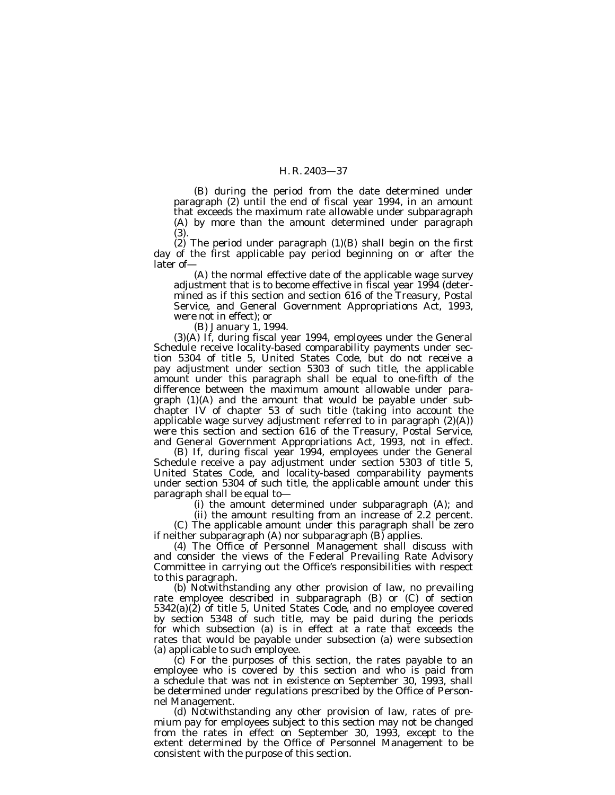(B) during the period from the date determined under paragraph (2) until the end of fiscal year 1994, in an amount that exceeds the maximum rate allowable under subparagraph (A) by more than the amount determined under paragraph (3).

(2) The period under paragraph (1)(B) shall begin on the first day of the first applicable pay period beginning on or after the later of—

(A) the normal effective date of the applicable wage survey adjustment that is to become effective in fiscal year 1994 (determined as if this section and section 616 of the Treasury, Postal Service, and General Government Appropriations Act, 1993, were not in effect); or

(B) January 1, 1994.

(3)(A) If, during fiscal year 1994, employees under the General Schedule receive locality-based comparability payments under section 5304 of title 5, United States Code, but do not receive a pay adjustment under section 5303 of such title, the applicable amount under this paragraph shall be equal to one-fifth of the difference between the maximum amount allowable under paragraph  $(1)(A)$  and the amount that would be payable under subchapter IV of chapter 53 of such title (taking into account the applicable wage survey adjustment referred to in paragraph (2)(A)) were this section and section 616 of the Treasury, Postal Service, and General Government Appropriations Act, 1993, not in effect.

(B) If, during fiscal year 1994, employees under the General Schedule receive a pay adjustment under section 5303 of title 5, United States Code, and locality-based comparability payments under section 5304 of such title, the applicable amount under this paragraph shall be equal to—

(i) the amount determined under subparagraph (A); and

(ii) the amount resulting from an increase of 2.2 percent. (C) The applicable amount under this paragraph shall be zero if neither subparagraph (A) nor subparagraph (B) applies.

(4) The Office of Personnel Management shall discuss with and consider the views of the Federal Prevailing Rate Advisory Committee in carrying out the Office's responsibilities with respect to this paragraph.

(b) Notwithstanding any other provision of law, no prevailing rate employee described in subparagraph (B) or (C) of section  $5342(a)(2)$  of title 5, United States Code, and no employee covered by section 5348 of such title, may be paid during the periods for which subsection (a) is in effect at a rate that exceeds the rates that would be payable under subsection (a) were subsection (a) applicable to such employee.

(c) For the purposes of this section, the rates payable to an employee who is covered by this section and who is paid from a schedule that was not in existence on September 30, 1993, shall be determined under regulations prescribed by the Office of Personnel Management.

(d) Notwithstanding any other provision of law, rates of premium pay for employees subject to this section may not be changed from the rates in effect on September 30, 1993, except to the extent determined by the Office of Personnel Management to be consistent with the purpose of this section.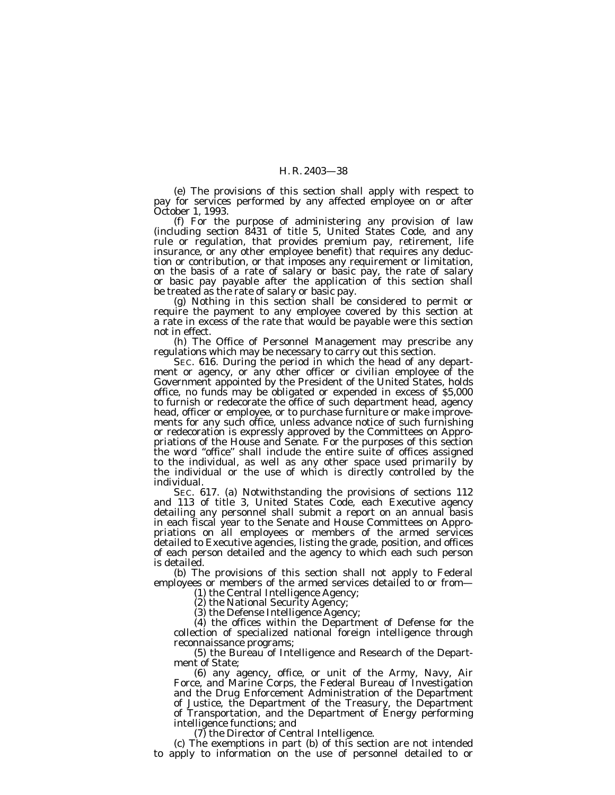(e) The provisions of this section shall apply with respect to pay for services performed by any affected employee on or after October 1, 1993.

(f) For the purpose of administering any provision of law (including section 8431 of title 5, United States Code, and any rule or regulation, that provides premium pay, retirement, life insurance, or any other employee benefit) that requires any deduction or contribution, or that imposes any requirement or limitation, on the basis of a rate of salary or basic pay, the rate of salary or basic pay payable after the application of this section shall be treated as the rate of salary or basic pay.

(g) Nothing in this section shall be considered to permit or require the payment to any employee covered by this section at a rate in excess of the rate that would be payable were this section not in effect.

(h) The Office of Personnel Management may prescribe any regulations which may be necessary to carry out this section.

SEC. 616. During the period in which the head of any department or agency, or any other officer or civilian employee of the Government appointed by the President of the United States, holds office, no funds may be obligated or expended in excess of \$5,000 to furnish or redecorate the office of such department head, agency head, officer or employee, or to purchase furniture or make improvements for any such office, unless advance notice of such furnishing or redecoration is expressly approved by the Committees on Appropriations of the House and Senate. For the purposes of this section the word ''office'' shall include the entire suite of offices assigned to the individual, as well as any other space used primarily by the individual or the use of which is directly controlled by the individual.

SEC. 617. (a) Notwithstanding the provisions of sections 112 and 113 of title 3, United States Code, each Executive agency detailing any personnel shall submit a report on an annual basis in each fiscal year to the Senate and House Committees on Appropriations on all employees or members of the armed services detailed to Executive agencies, listing the grade, position, and offices of each person detailed and the agency to which each such person is detailed.

(b) The provisions of this section shall not apply to Federal employees or members of the armed services detailed to or from—<br>(1) the Central Intelligence Agency;

(2) the National Security Agency;

(3) the Defense Intelligence Agency;

(4) the offices within the Department of Defense for the collection of specialized national foreign intelligence through reconnaissance programs;

(5) the Bureau of Intelligence and Research of the Department of State;

(6) any agency, office, or unit of the Army, Navy, Air Force, and Marine Corps, the Federal Bureau of Investigation and the Drug Enforcement Administration of the Department of Justice, the Department of the Treasury, the Department of Transportation, and the Department of Energy performing intelligence functions; and

(7) the Director of Central Intelligence.

(c) The exemptions in part (b) of this section are not intended to apply to information on the use of personnel detailed to or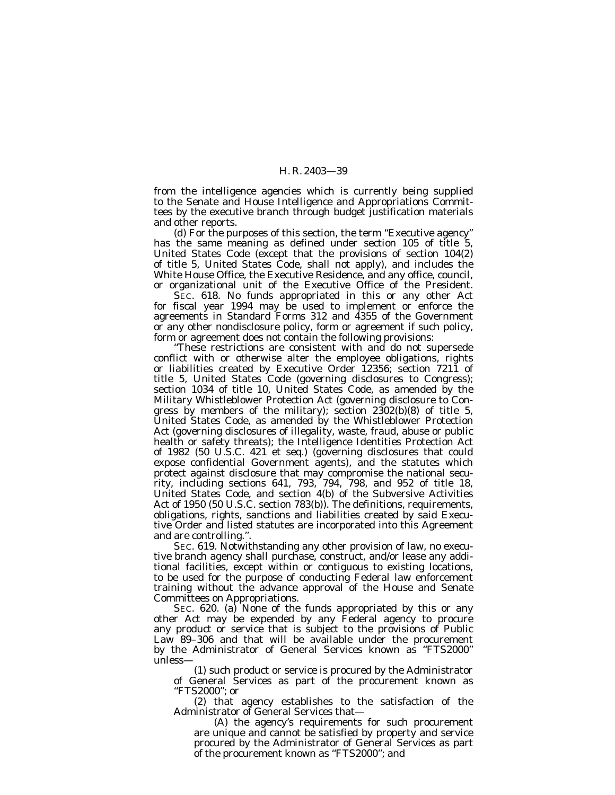from the intelligence agencies which is currently being supplied to the Senate and House Intelligence and Appropriations Committees by the executive branch through budget justification materials and other reports.

(d) For the purposes of this section, the term ''Executive agency'' has the same meaning as defined under section 105 of title 5, United States Code (except that the provisions of section 104(2) of title 5, United States Code, shall not apply), and includes the White House Office, the Executive Residence, and any office, council, or organizational unit of the Executive Office of the President.

SEC. 618. No funds appropriated in this or any other Act for fiscal year 1994 may be used to implement or enforce the agreements in Standard Forms 312 and 4355 of the Government or any other nondisclosure policy, form or agreement if such policy, form or agreement does not contain the following provisions:

''These restrictions are consistent with and do not supersede conflict with or otherwise alter the employee obligations, rights or liabilities created by Executive Order 12356; section 7211 of title 5, United States Code (governing disclosures to Congress); section 1034 of title 10, United States Code, as amended by the Military Whistleblower Protection Act (governing disclosure to Congress by members of the military); section 2302(b)(8) of title 5, United States Code, as amended by the Whistleblower Protection Act (governing disclosures of illegality, waste, fraud, abuse or public health or safety threats); the Intelligence Identities Protection Act of 1982 (50 U.S.C. 421 et seq.) (governing disclosures that could expose confidential Government agents), and the statutes which protect against disclosure that may compromise the national security, including sections 641, 793, 794, 798, and 952 of title 18, United States Code, and section 4(b) of the Subversive Activities Act of 1950 (50 U.S.C. section 783(b)). The definitions, requirements, obligations, rights, sanctions and liabilities created by said Executive Order and listed statutes are incorporated into this Agreement and are controlling.''.

SEC. 619. Notwithstanding any other provision of law, no executive branch agency shall purchase, construct, and/or lease any additional facilities, except within or contiguous to existing locations, to be used for the purpose of conducting Federal law enforcement training without the advance approval of the House and Senate Committees on Appropriations.

SEC. 620. (a) None of the funds appropriated by this or any other Act may be expended by any Federal agency to procure any product or service that is subject to the provisions of Public Law 89-306 and that will be available under the procurement by the Administrator of General Services known as ''FTS2000'' unless—

(1) such product or service is procured by the Administrator of General Services as part of the procurement known as ''FTS2000''; or

(2) that agency establishes to the satisfaction of the Administrator of General Services that—

(A) the agency's requirements for such procurement are unique and cannot be satisfied by property and service procured by the Administrator of General Services as part of the procurement known as ''FTS2000''; and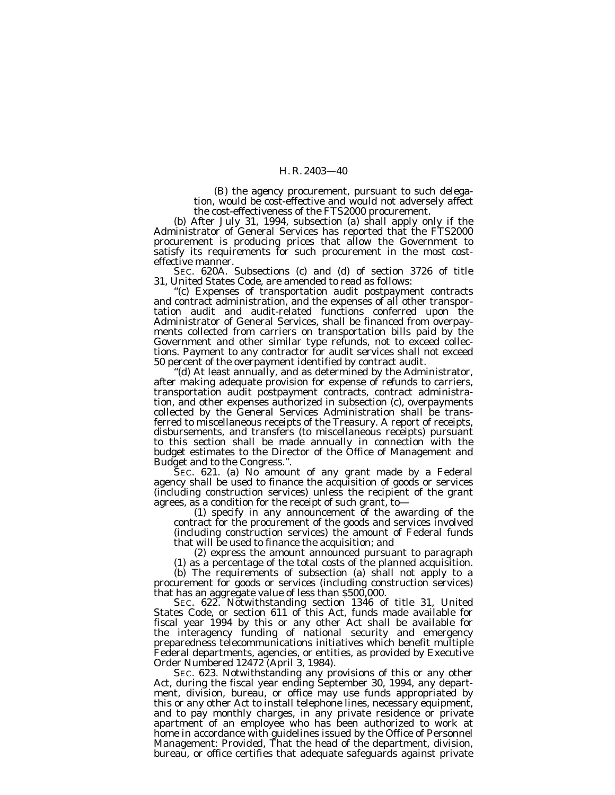(B) the agency procurement, pursuant to such delegation, would be cost-effective and would not adversely affect the cost-effectiveness of the FTS2000 procurement.

(b) After July 31, 1994, subsection (a) shall apply only if the Administrator of General Services has reported that the FTS2000 procurement is producing prices that allow the Government to satisfy its requirements for such procurement in the most costeffective manner.

SEC. 620A. Subsections (c) and (d) of section 3726 of title 31, United States Code, are amended to read as follows:

''(c) Expenses of transportation audit postpayment contracts and contract administration, and the expenses of all other transportation audit and audit-related functions conferred upon the Administrator of General Services, shall be financed from overpayments collected from carriers on transportation bills paid by the Government and other similar type refunds, not to exceed collections. Payment to any contractor for audit services shall not exceed 50 percent of the overpayment identified by contract audit.

''(d) At least annually, and as determined by the Administrator, after making adequate provision for expense of refunds to carriers, transportation audit postpayment contracts, contract administration, and other expenses authorized in subsection (c), overpayments collected by the General Services Administration shall be transferred to miscellaneous receipts of the Treasury. A report of receipts, disbursements, and transfers (to miscellaneous receipts) pursuant to this section shall be made annually in connection with the budget estimates to the Director of the Office of Management and Budget and to the Congress.''.

SEC. 621. (a) No amount of any grant made by a Federal agency shall be used to finance the acquisition of goods or services (including construction services) unless the recipient of the grant agrees, as a condition for the receipt of such grant, to—

(1) specify in any announcement of the awarding of the contract for the procurement of the goods and services involved (including construction services) the amount of Federal funds that will be used to finance the acquisition; and

(2) express the amount announced pursuant to paragraph (1) as a percentage of the total costs of the planned acquisition.<br>(b) The requirements of subsection (a) shall not apply to a

procurement for goods or services (including construction services) that has an aggregate value of less than \$500,000.

SEC. 622. Notwithstanding section 1346 of title 31, United States Code, or section 611 of this Act, funds made available for fiscal year 1994 by this or any other Act shall be available for the interagency funding of national security and emergency preparedness telecommunications initiatives which benefit multiple Federal departments, agencies, or entities, as provided by Executive Order Numbered 12472 (April 3, 1984).

SEC. 623. Notwithstanding any provisions of this or any other Act, during the fiscal year ending September 30, 1994, any department, division, bureau, or office may use funds appropriated by this or any other Act to install telephone lines, necessary equipment, and to pay monthly charges, in any private residence or private apartment of an employee who has been authorized to work at home in accordance with guidelines issued by the Office of Personnel Management: *Provided,* That the head of the department, division, bureau, or office certifies that adequate safeguards against private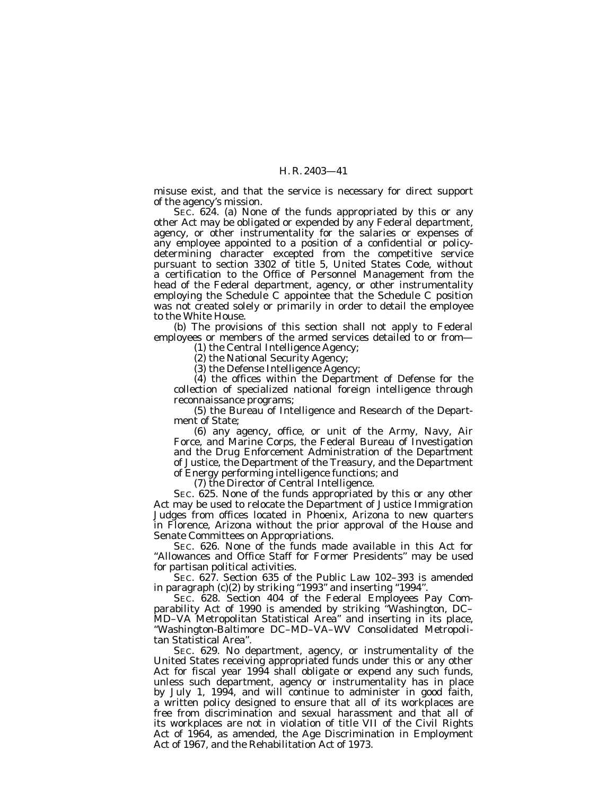misuse exist, and that the service is necessary for direct support of the agency's mission.

SEC. 624. (a) None of the funds appropriated by this or any other Act may be obligated or expended by any Federal department, agency, or other instrumentality for the salaries or expenses of any employee appointed to a position of a confidential or policydetermining character excepted from the competitive service pursuant to section 3302 of title 5, United States Code, without a certification to the Office of Personnel Management from the head of the Federal department, agency, or other instrumentality employing the Schedule C appointee that the Schedule C position was not created solely or primarily in order to detail the employee to the White House.

(b) The provisions of this section shall not apply to Federal employees or members of the armed services detailed to or from-

(1) the Central Intelligence Agency;

(2) the National Security Agency;

(3) the Defense Intelligence Agency;

(4) the offices within the Department of Defense for the collection of specialized national foreign intelligence through reconnaissance programs;

(5) the Bureau of Intelligence and Research of the Department of State;

(6) any agency, office, or unit of the Army, Navy, Air Force, and Marine Corps, the Federal Bureau of Investigation and the Drug Enforcement Administration of the Department of Justice, the Department of the Treasury, and the Department of Energy performing intelligence functions; and

(7) the Director of Central Intelligence.

SEC. 625. None of the funds appropriated by this or any other Act may be used to relocate the Department of Justice Immigration Judges from offices located in Phoenix, Arizona to new quarters in Florence, Arizona without the prior approval of the House and Senate Committees on Appropriations.

SEC. 626. None of the funds made available in this Act for ''Allowances and Office Staff for Former Presidents'' may be used for partisan political activities.

SEC. 627. Section 635 of the Public Law 102–393 is amended in paragraph (c)(2) by striking ''1993'' and inserting ''1994''.

SEC. 628. Section 404 of the Federal Employees Pay Comparability Act of 1990 is amended by striking ''Washington, DC– MD–VA Metropolitan Statistical Area'' and inserting in its place, ''Washington-Baltimore DC–MD–VA–WV Consolidated Metropolitan Statistical Area''.

SEC. 629. No department, agency, or instrumentality of the United States receiving appropriated funds under this or any other Act for fiscal year 1994 shall obligate or expend any such funds, unless such department, agency or instrumentality has in place by July 1, 1994, and will continue to administer in good faith, a written policy designed to ensure that all of its workplaces are free from discrimination and sexual harassment and that all of its workplaces are not in violation of title VII of the Civil Rights Act of 1964, as amended, the Age Discrimination in Employment Act of 1967, and the Rehabilitation Act of 1973.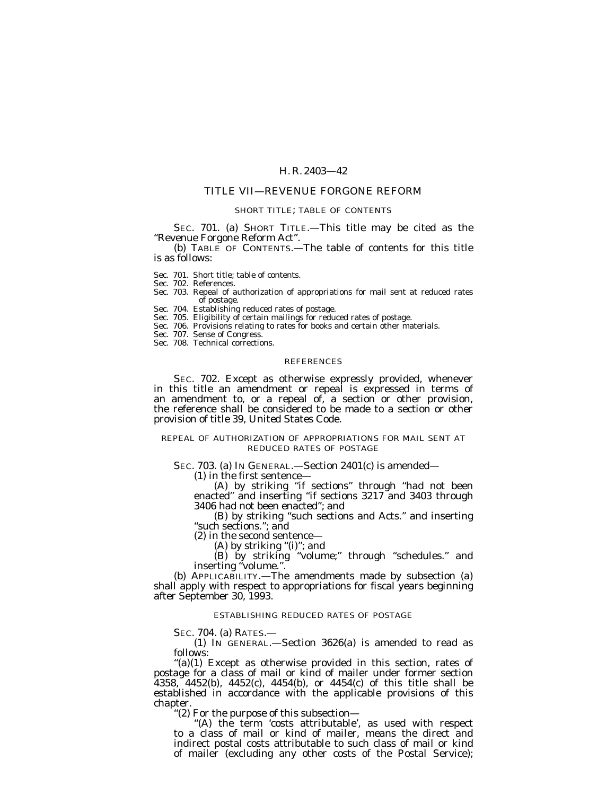### TITLE VII—REVENUE FORGONE REFORM

### SHORT TITLE; TABLE OF CONTENTS

SEC. 701. (a) SHORT TITLE.—This title may be cited as the ''Revenue Forgone Reform Act''.

(b) TABLE OF CONTENTS.—The table of contents for this title is as follows:

Sec. 701. Short title; table of contents.

Sec. 702. References.

Sec. 703. Repeal of authorization of appropriations for mail sent at reduced rates of postage.

Sec. 704. Establishing reduced rates of postage.

Sec. 705. Eligibility of certain mailings for reduced rates of postage.

Sec. 706. Provisions relating to rates for books and certain other materials.

Sec. 707. Sense of Congress.

Sec. 708. Technical corrections.

#### **REFERENCES**

SEC. 702. Except as otherwise expressly provided, whenever in this title an amendment or repeal is expressed in terms of an amendment to, or a repeal of, a section or other provision, the reference shall be considered to be made to a section or other provision of title 39, United States Code.

### REPEAL OF AUTHORIZATION OF APPROPRIATIONS FOR MAIL SENT AT REDUCED RATES OF POSTAGE

SEC. 703. (a) IN GENERAL.—Section 2401(c) is amended—

(1) in the first sentence—

(A) by striking ''if sections'' through ''had not been enacted'' and inserting ''if sections 3217 and 3403 through 3406 had not been enacted''; and

(B) by striking ''such sections and Acts.'' and inserting "such sections."; and

(2) in the second sentence—

(A) by striking "(i)"; and

(B) by striking ''volume;'' through ''schedules.'' and inserting ''volume.''.

(b) APPLICABILITY.—The amendments made by subsection (a) shall apply with respect to appropriations for fiscal years beginning after September 30, 1993.

### ESTABLISHING REDUCED RATES OF POSTAGE

SEC. 704. (a) RATES.—

(1) IN GENERAL.—Section 3626(a) is amended to read as follows:

"(a)(1) Except as otherwise provided in this section, rates of postage for a class of mail or kind of mailer under former section 4358, 4452(b), 4452(c), 4454(b), or 4454(c) of this title shall be established in accordance with the applicable provisions of this chapter.

''(2) For the purpose of this subsection—

"(A) the term 'costs attributable', as used with respect to a class of mail or kind of mailer, means the direct and indirect postal costs attributable to such class of mail or kind of mailer (excluding any other costs of the Postal Service);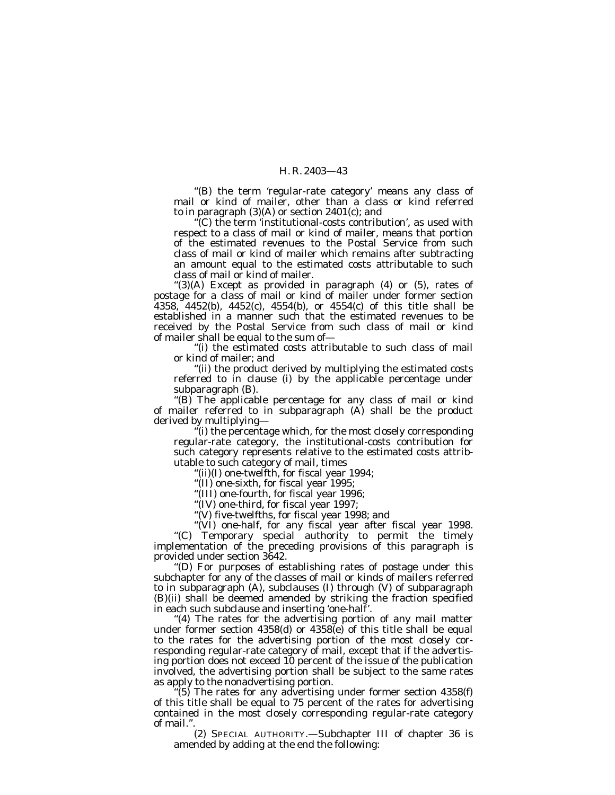''(B) the term 'regular-rate category' means any class of mail or kind of mailer, other than a class or kind referred to in paragraph  $(3)(A)$  or section  $2401(c)$ ; and

''(C) the term 'institutional-costs contribution', as used with respect to a class of mail or kind of mailer, means that portion of the estimated revenues to the Postal Service from such class of mail or kind of mailer which remains after subtracting an amount equal to the estimated costs attributable to such class of mail or kind of mailer.

" $(3)(A)$  Except as provided in paragraph  $(4)$  or  $(5)$ , rates of postage for a class of mail or kind of mailer under former section  $4358, 4452(b), 4452(c), 4554(b),$  or  $4554(c)$  of this title shall be established in a manner such that the estimated revenues to be received by the Postal Service from such class of mail or kind of mailer shall be equal to the sum of—

''(i) the estimated costs attributable to such class of mail or kind of mailer; and

''(ii) the product derived by multiplying the estimated costs referred to in clause (i) by the applicable percentage under subparagraph (B).

''(B) The applicable percentage for any class of mail or kind of mailer referred to in subparagraph (A) shall be the product derived by multiplying—

''(i) the percentage which, for the most closely corresponding regular-rate category, the institutional-costs contribution for such category represents relative to the estimated costs attributable to such category of mail, times

''(ii)(I) one-twelfth, for fiscal year 1994;

''(II) one-sixth, for fiscal year 1995;

''(III) one-fourth, for fiscal year 1996;

''(IV) one-third, for fiscal year 1997;

''(V) five-twelfths, for fiscal year 1998; and

"(VI) one-half, for any fiscal year after fiscal year 1998.<br>"(C) Temporary special authority to permit the timely

Temporary special authority to permit the timely implementation of the preceding provisions of this paragraph is provided under section 3642.

''(D) For purposes of establishing rates of postage under this subchapter for any of the classes of mail or kinds of mailers referred to in subparagraph (A), subclauses (I) through (V) of subparagraph (B)(ii) shall be deemed amended by striking the fraction specified in each such subclause and inserting 'one-half'.

"(4) The rates for the advertising portion of any mail matter under former section 4358(d) or 4358(e) of this title shall be equal to the rates for the advertising portion of the most closely corresponding regular-rate category of mail, except that if the advertising portion does not exceed 10 percent of the issue of the publication involved, the advertising portion shall be subject to the same rates as apply to the nonadvertising portion.

 $(5)$  The rates for any advertising under former section 4358(f) of this title shall be equal to 75 percent of the rates for advertising contained in the most closely corresponding regular-rate category of mail.''.

(2) SPECIAL AUTHORITY.—Subchapter III of chapter 36 is amended by adding at the end the following: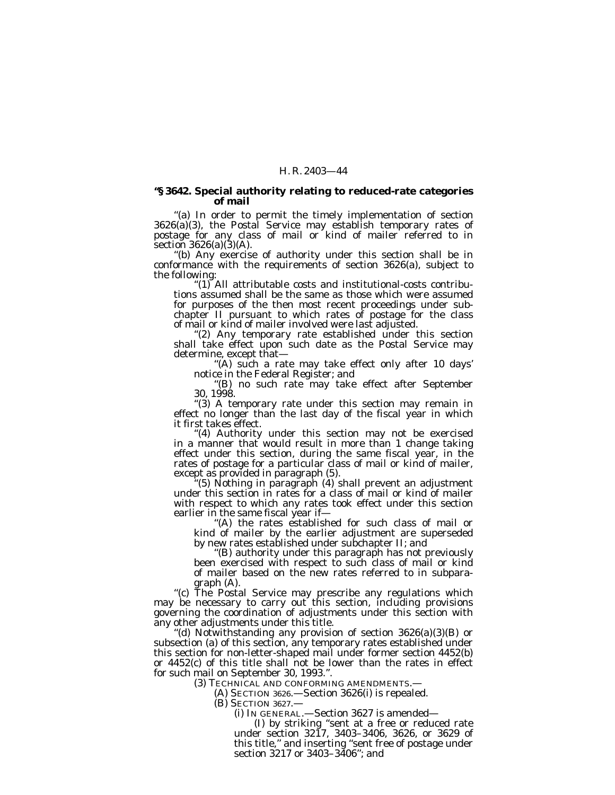# **''§ 3642. Special authority relating to reduced-rate categories of mail**

''(a) In order to permit the timely implementation of section 3626(a)(3), the Postal Service may establish temporary rates of postage for any class of mail or kind of mailer referred to in section 3626(a)(3)(A).<br>"(b) Any exercise of authority under this section shall be in

conformance with the requirements of section 3626(a), subject to the following:

"(1) All attributable costs and institutional-costs contributions assumed shall be the same as those which were assumed for purposes of the then most recent proceedings under subchapter II pursuant to which rates of postage for the class<br>of mail or kind of mailer involved were last adjusted.

"(2) Any temporary rate established under this section shall take effect upon such date as the Postal Service may determine, except that—

"(A) such a rate may take effect only after 10 days' notice in the Federal Register; and "(B) no such rate may take effect after September

30, 1998.<br>"(3) A temporary rate under this section may remain in

effect no longer than the last day of the fiscal year in which it first takes effect.

''(4) Authority under this section may not be exercised in a manner that would result in more than 1 change taking effect under this section, during the same fiscal year, in the rates of postage for a particular class of mail or kind of mailer, except as provided in paragraph (5).

except as provided in paragraph (5). ''(5) Nothing in paragraph (4) shall prevent an adjustment under this section in rates for a class of mail or kind of mailer with respect to which any rates took effect under this section earlier in the same fiscal year if—

"(A) the rates established for such class of mail or kind of mailer by the earlier adjustment are superseded<br>by new rates established under subchapter II; and

"(B) authority under this paragraph has not previously been exercised with respect to such class of mail or kind of mailer based on the new rates referred to in subpara-

graph (A).<br>"(c) The Postal Service may prescribe any regulations which may be necessary to carry out this section, including provisions governing the coordination of adjustments under this section with any other adjustments under this title.

''(d) Notwithstanding any provision of section 3626(a)(3)(B) or subsection (a) of this section, any temporary rates established under this section for non-letter-shaped mail under former section 4452(b) or 4452(c) of this title shall not be lower than the rates in effect for such mail on September 30, 1993.''.

(3) TECHNICAL AND CONFORMING AMENDMENTS.—

(A) SECTION 3626.—Section 3626(i) is repealed.

(B) SECTION 3627.—

(i) IN GENERAL.—Section 3627 is amended—

(I) by striking ''sent at a free or reduced rate under section 3217, 3403–3406, 3626, or 3629 of this title,'' and inserting ''sent free of postage under section 3217 or 3403–3406''; and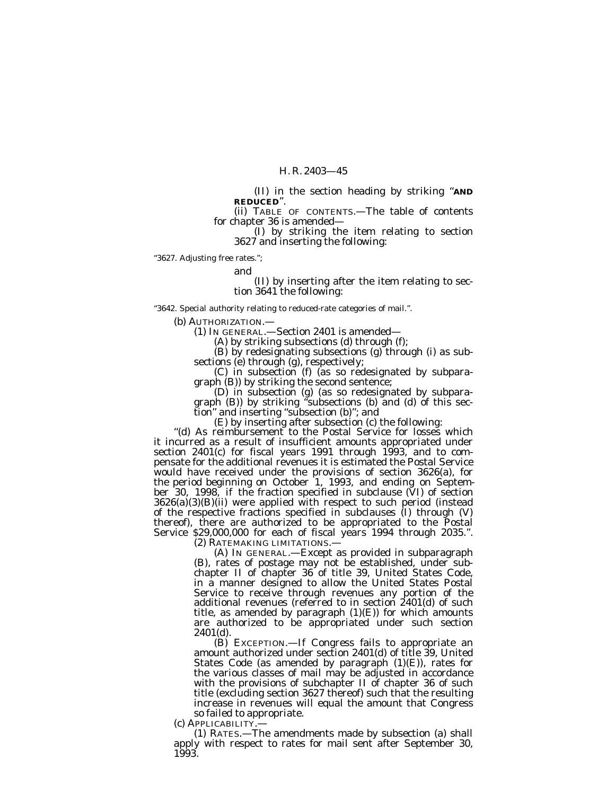(II) in the section heading by striking ''**AND REDUCED**''.

(ii) TABLE OF CONTENTS.—The table of contents for chapter 36 is amended—

(I) by striking the item relating to section 3627 and inserting the following:

''3627. Adjusting free rates.'';

and

(II) by inserting after the item relating to section 3641 the following:

''3642. Special authority relating to reduced-rate categories of mail.''.

(b) AUTHORIZATION.—

(1) IN GENERAL.—Section 2401 is amended—

(A) by striking subsections (d) through (f);

(B) by redesignating subsections (g) through (i) as subsections (e) through (g), respectively;

(C) in subsection (f) (as so redesignated by subparagraph (B)) by striking the second sentence;

(D) in subsection (g) (as so redesignated by subparagraph (B)) by striking ''subsections (b) and (d) of this section'' and inserting ''subsection (b)''; and

(E) by inserting after subsection (c) the following:

''(d) As reimbursement to the Postal Service for losses which it incurred as a result of insufficient amounts appropriated under section 2401(c) for fiscal years 1991 through 1993, and to compensate for the additional revenues it is estimated the Postal Service would have received under the provisions of section 3626(a), for the period beginning on October 1, 1993, and ending on September 30, 1998, if the fraction specified in subclause (VI) of section 3626(a)(3)(B)(ii) were applied with respect to such period (instead of the respective fractions specified in subclauses (I) through (V) thereof), there are authorized to be appropriated to the Postal<br>Service \$29,000,000 for each of fiscal years 1994 through 2035.".

(2) RATEMAKING LIMITATIONS.—<br>(A) IN GENERAL.—Except as provided in subparagraph<br>(B), rates of postage may not be established, under subchapter II of chapter 36 of title 39, United States Code, in a manner designed to allow the United States Postal Service to receive through revenues any portion of the additional revenues (referred to in section 2401(d) of such title, as amended by paragraph  $(1)(E)$  for which amounts are authorized to be appropriated under such section 2401(d).

(B) EXCEPTION.—If Congress fails to appropriate an amount authorized under section 2401(d) of title 39, United States Code (as amended by paragraph (1)(E)), rates for the various classes of mail may be adjusted in accordance with the provisions of subchapter II of chapter 36 of such title (excluding section 3627 thereof) such that the resulting increase in revenues will equal the amount that Congress so failed to appropriate.

(c) APPLICABILITY.—

(1) RATES.—The amendments made by subsection (a) shall apply with respect to rates for mail sent after September 30, 1993.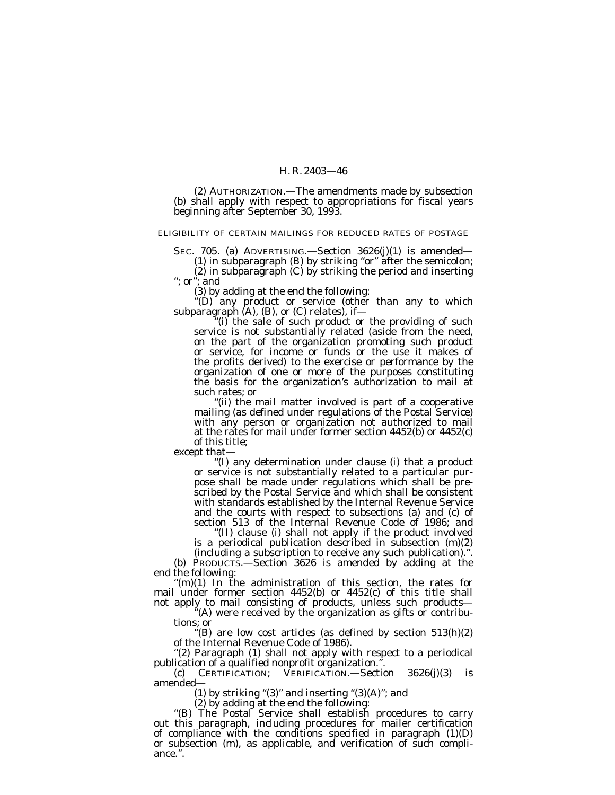(2) AUTHORIZATION.—The amendments made by subsection (b) shall apply with respect to appropriations for fiscal years beginning after September 30, 1993.

### ELIGIBILITY OF CERTAIN MAILINGS FOR REDUCED RATES OF POSTAGE

SEC. 705. (a) ADVERTISING.—Section 3626(j)(1) is amended—  $(1)$  in subparagraph  $(B)$  by striking "or" after the semicolon;

(2) in subparagraph (C) by striking the period and inserting ''; or''; and

(3) by adding at the end the following:

''(D) any product or service (other than any to which subparagraph (A), (B), or (C) relates), if— ''(i) the sale of such product or the providing of such service is not substantially related (aside from the need,

on the part of the organization promoting such product or service, for income or funds or the use it makes of the profits derived) to the exercise or performance by the organization of one or more of the purposes constituting the basis for the organization's authorization to mail at such rates; or

''(ii) the mail matter involved is part of a cooperative mailing (as defined under regulations of the Postal Service) with any person or organization not authorized to mail at the rates for mail under former section 4452(b) or 4452(c) of this title;

except that—

''(I) any determination under clause (i) that a product or service is not substantially related to a particular purpose shall be made under regulations which shall be prescribed by the Postal Service and which shall be consistent with standards established by the Internal Revenue Service and the courts with respect to subsections (a) and (c) of section 513 of the Internal Revenue Code of 1986; and

''(II) clause (i) shall not apply if the product involved is a periodical publication described in subsection (m)(2)

(including a subscription to receive any such publication).''. (b) PRODUCTS.—Section 3626 is amended by adding at the end the following:

''(m)(1) In the administration of this section, the rates for mail under former section 4452(b) or 4452(c) of this title shall not apply to mail consisting of products, unless such products—

 $^{\alpha}(A)$  were received by the organization as gifts or contributions; or

''(B) are low cost articles (as defined by section 513(h)(2) of the Internal Revenue Code of 1986).

"(2) Paragraph (1) shall not apply with respect to a periodical publication of a qualified nonprofit organization.".

 $p$  CERTIFICATION; VERIFICATION. Section 3626(j)(3) is amended—

(1) by striking "(3)" and inserting "(3)(A)"; and (2) by adding at the end the following:

"(B) The Postal Service shall establish procedures to carry out this paragraph, including procedures for mailer certification of compliance with the conditions specified in paragraph (1)(D) or subsection (m), as applicable, and verification of such compliance.''.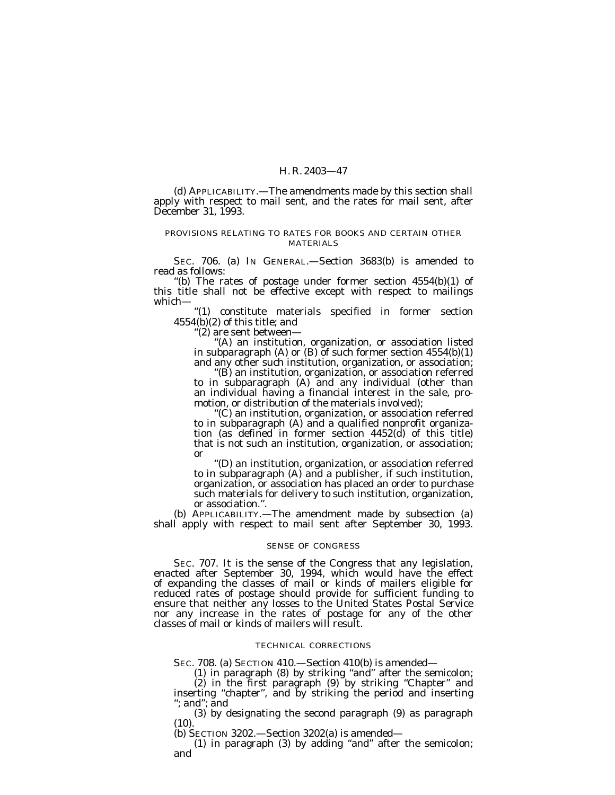(d) APPLICABILITY.—The amendments made by this section shall apply with respect to mail sent, and the rates for mail sent, after December 31, 1993.

### PROVISIONS RELATING TO RATES FOR BOOKS AND CERTAIN OTHER MATERIALS

SEC. 706. (a) IN GENERAL.—Section 3683(b) is amended to read as follows:

''(b) The rates of postage under former section 4554(b)(1) of this title shall not be effective except with respect to mailings which—

''(1) constitute materials specified in former section  $4554(b)(2)$  of this title; and

''(2) are sent between—

''(A) an institution, organization, or association listed in subparagraph (A) or (B) of such former section  $4554(b)(1)$ and any other such institution, organization, or association;

''(B) an institution, organization, or association referred to in subparagraph (A) and any individual (other than an individual having a financial interest in the sale, promotion, or distribution of the materials involved);

'(C) an institution, organization, or association referred to in subparagraph (A) and a qualified nonprofit organization (as defined in former section 4452(d) of this title) that is not such an institution, organization, or association; or

''(D) an institution, organization, or association referred to in subparagraph (A) and a publisher, if such institution, organization, or association has placed an order to purchase such materials for delivery to such institution, organization, or association.''.

(b) APPLICABILITY.—The amendment made by subsection (a) shall apply with respect to mail sent after September 30, 1993.

#### SENSE OF CONGRESS

SEC. 707. It is the sense of the Congress that any legislation, enacted after September 30, 1994, which would have the effect of expanding the classes of mail or kinds of mailers eligible for reduced rates of postage should provide for sufficient funding to ensure that neither any losses to the United States Postal Service nor any increase in the rates of postage for any of the other classes of mail or kinds of mailers will result.

### TECHNICAL CORRECTIONS

SEC. 708. (a) SECTION 410.—Section 410(b) is amended—

(1) in paragraph (8) by striking ''and'' after the semicolon; (2) in the first paragraph (9) by striking ''Chapter'' and inserting ''chapter'', and by striking the period and inserting ''; and''; and

(3) by designating the second paragraph (9) as paragraph  $(10).$ 

(b) SECTION 3202.—Section 3202(a) is amended—

(1) in paragraph (3) by adding ''and'' after the semicolon; and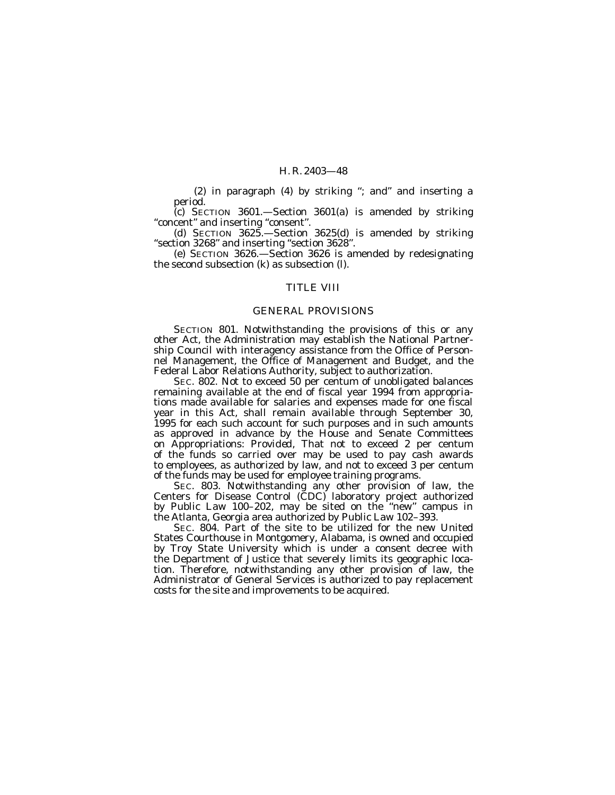(2) in paragraph (4) by striking ''; and'' and inserting a period.

(c) SECTION 3601.—Section 3601(a) is amended by striking ''concent'' and inserting ''consent''.

(d) SECTION 3625.—Section 3625(d) is amended by striking ''section 3268'' and inserting ''section 3628''.

(e) SECTION 3626.—Section 3626 is amended by redesignating the second subsection (k) as subsection (l).

### TITLE VIII

### GENERAL PROVISIONS

SECTION 801. Notwithstanding the provisions of this or any other Act, the Administration may establish the National Partnership Council with interagency assistance from the Office of Personnel Management, the Office of Management and Budget, and the Federal Labor Relations Authority, subject to authorization.

SEC. 802. Not to exceed 50 per centum of unobligated balances remaining available at the end of fiscal year 1994 from appropriations made available for salaries and expenses made for one fiscal year in this Act, shall remain available through September 30, 1995 for each such account for such purposes and in such amounts as approved in advance by the House and Senate Committees on Appropriations: *Provided,* That not to exceed 2 per centum of the funds so carried over may be used to pay cash awards to employees, as authorized by law, and not to exceed 3 per centum of the funds may be used for employee training programs.

SEC. 803. Notwithstanding any other provision of law, the Centers for Disease Control (CDC) laboratory project authorized by Public Law 100–202, may be sited on the ''new'' campus in the Atlanta, Georgia area authorized by Public Law 102–393.

SEC. 804. Part of the site to be utilized for the new United States Courthouse in Montgomery, Alabama, is owned and occupied by Troy State University which is under a consent decree with the Department of Justice that severely limits its geographic location. Therefore, notwithstanding any other provision of law, the Administrator of General Services is authorized to pay replacement costs for the site and improvements to be acquired.